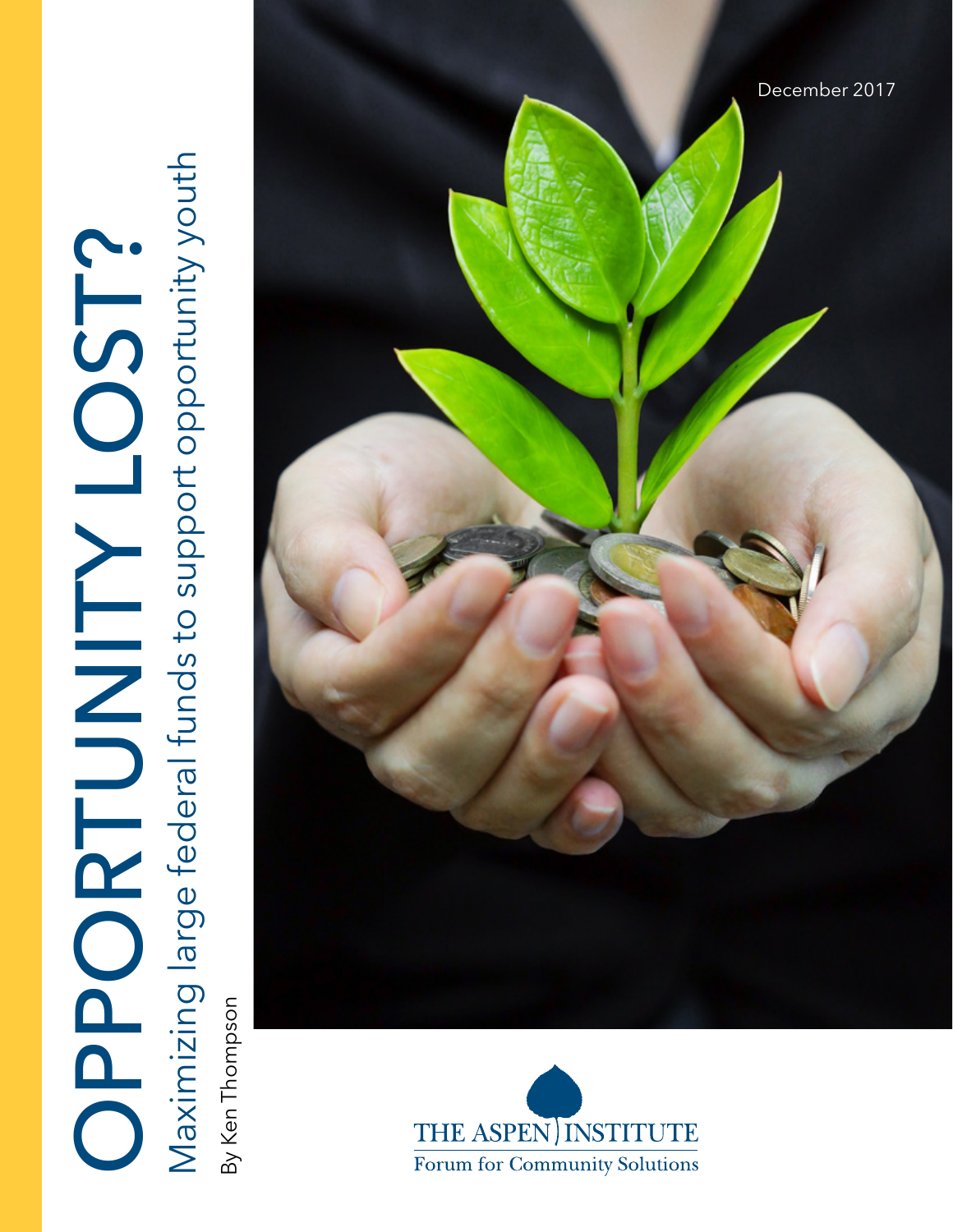

By Ken Thompson By Ken Thompson



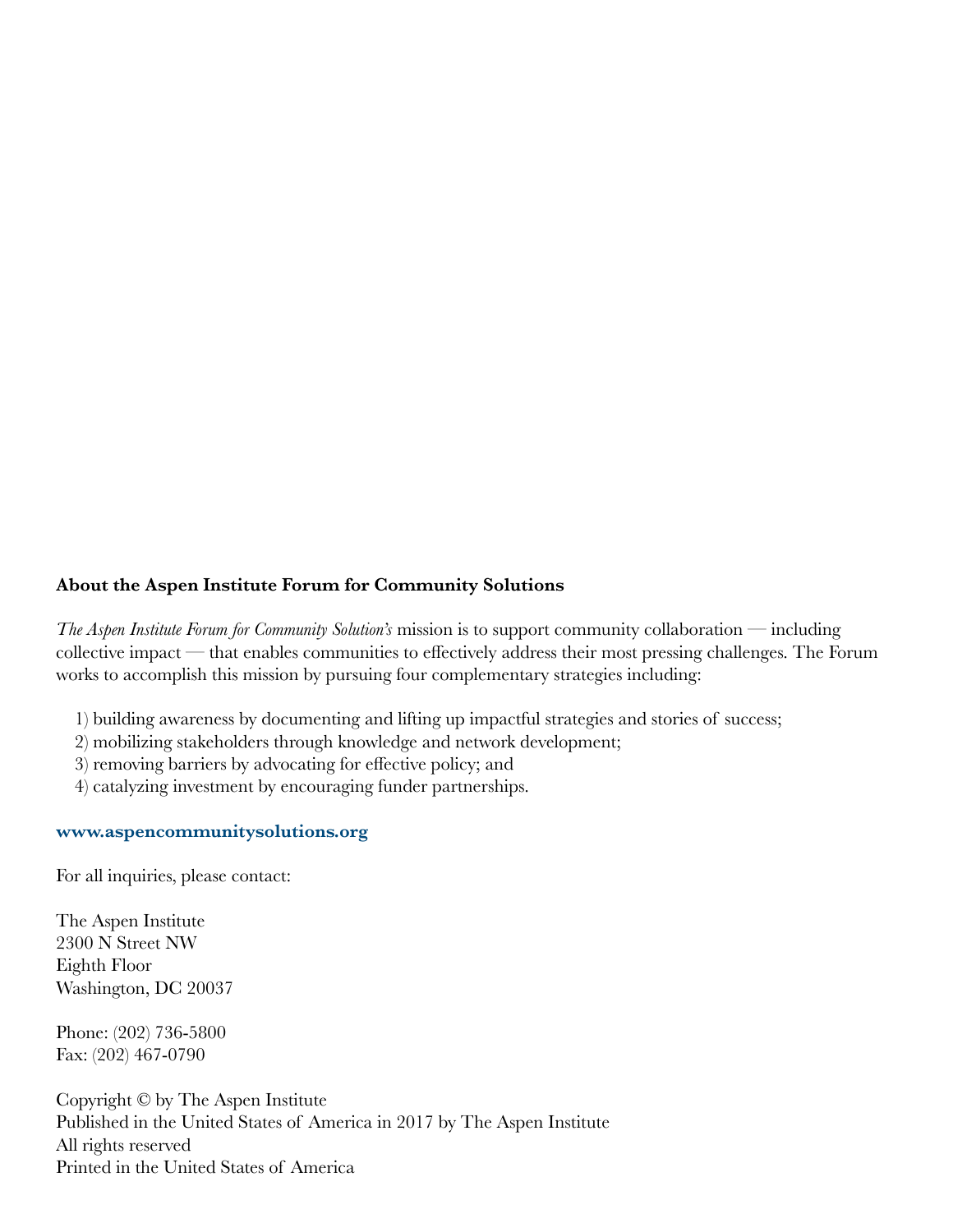#### **About the Aspen Institute Forum for Community Solutions**

*The Aspen Institute Forum for Community Solution's* mission is to support community collaboration — including collective impact — that enables communities to effectively address their most pressing challenges. The Forum works to accomplish this mission by pursuing four complementary strategies including:

- 1) building awareness by documenting and lifting up impactful strategies and stories of success;
- 2) mobilizing stakeholders through knowledge and network development;
- 3) removing barriers by advocating for effective policy; and
- 4) catalyzing investment by encouraging funder partnerships.

#### **[www.aspencommunitysolutions.org](http://aspencommunitysolutions.org)**

For all inquiries, please contact:

The Aspen Institute 2300 N Street NW Eighth Floor Washington, DC 20037

Phone: (202) 736-5800 Fax: (202) 467-0790

Copyright © by The Aspen Institute Published in the United States of America in 2017 by The Aspen Institute All rights reserved Printed in the United States of America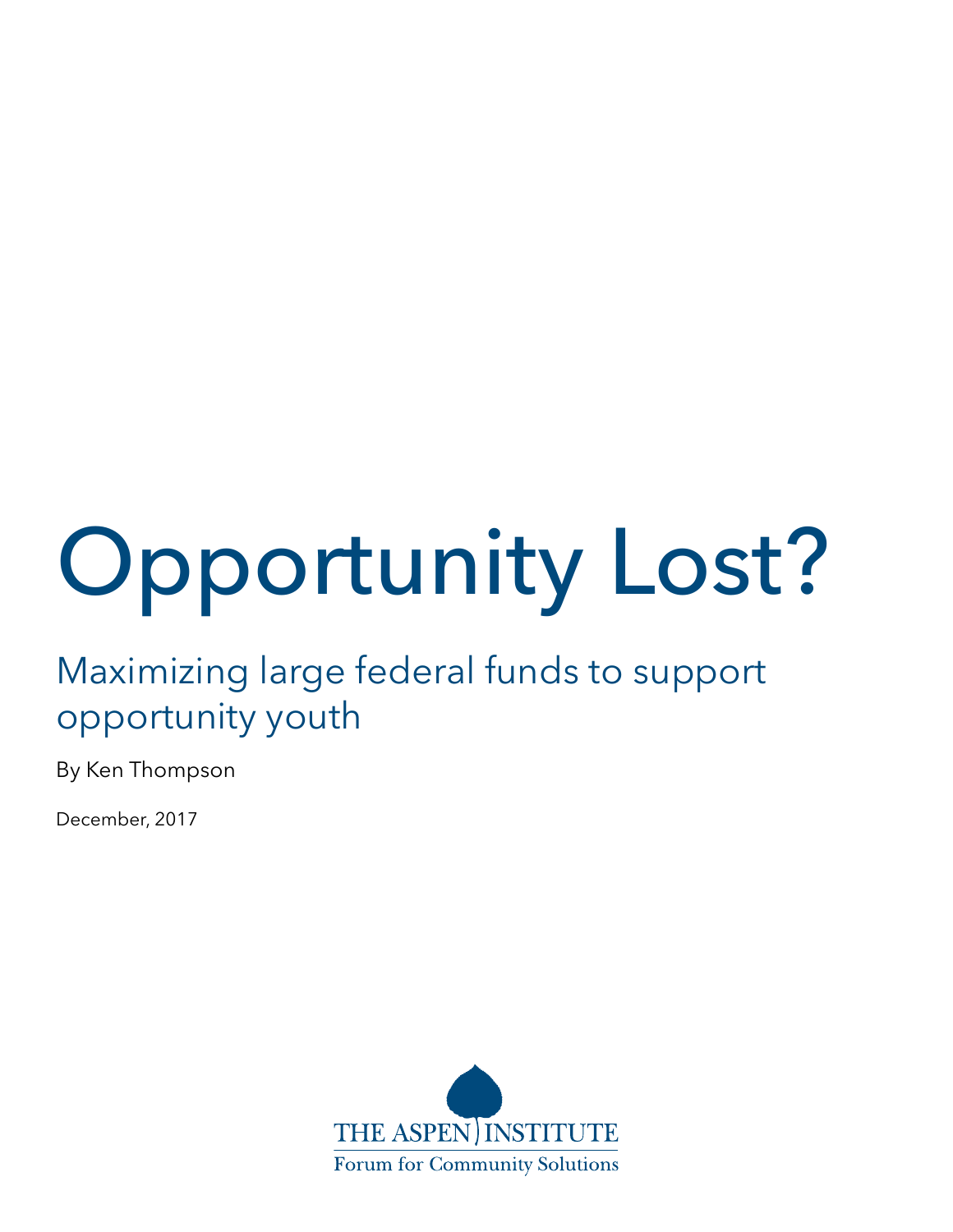# Opportunity Lost?

# Maximizing large federal funds to support opportunity youth

By Ken Thompson

December, 2017

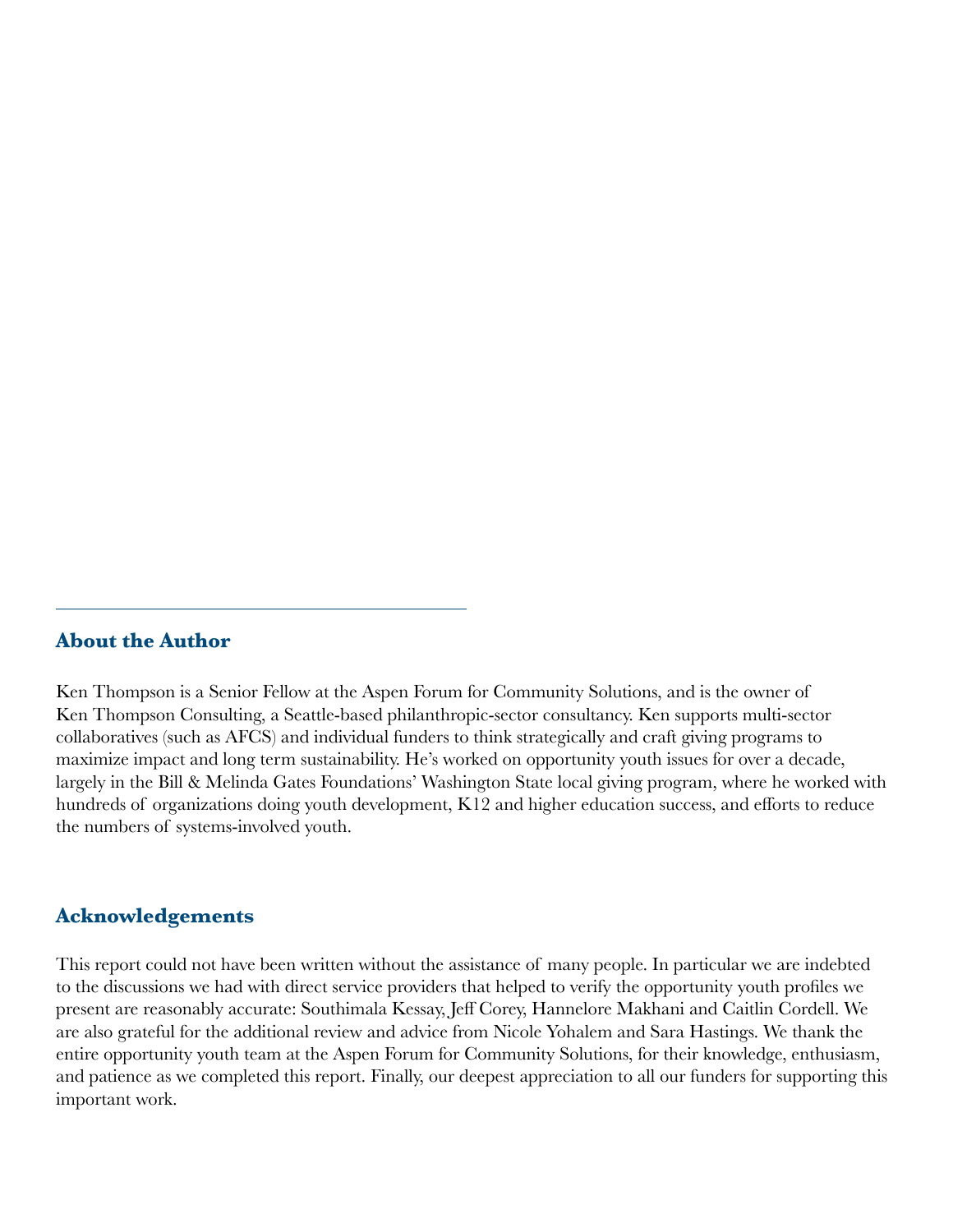#### **About the Author**

Ken Thompson is a Senior Fellow at the Aspen Forum for Community Solutions, and is the owner of Ken Thompson Consulting, a Seattle-based philanthropic-sector consultancy. Ken supports multi-sector collaboratives (such as AFCS) and individual funders to think strategically and craft giving programs to maximize impact and long term sustainability. He's worked on opportunity youth issues for over a decade, largely in the Bill & Melinda Gates Foundations' Washington State local giving program, where he worked with hundreds of organizations doing youth development, K12 and higher education success, and efforts to reduce the numbers of systems-involved youth.

#### **Acknowledgements**

This report could not have been written without the assistance of many people. In particular we are indebted to the discussions we had with direct service providers that helped to verify the opportunity youth profiles we present are reasonably accurate: Southimala Kessay, Jeff Corey, Hannelore Makhani and Caitlin Cordell. We are also grateful for the additional review and advice from Nicole Yohalem and Sara Hastings. We thank the entire opportunity youth team at the Aspen Forum for Community Solutions, for their knowledge, enthusiasm, and patience as we completed this report. Finally, our deepest appreciation to all our funders for supporting this important work.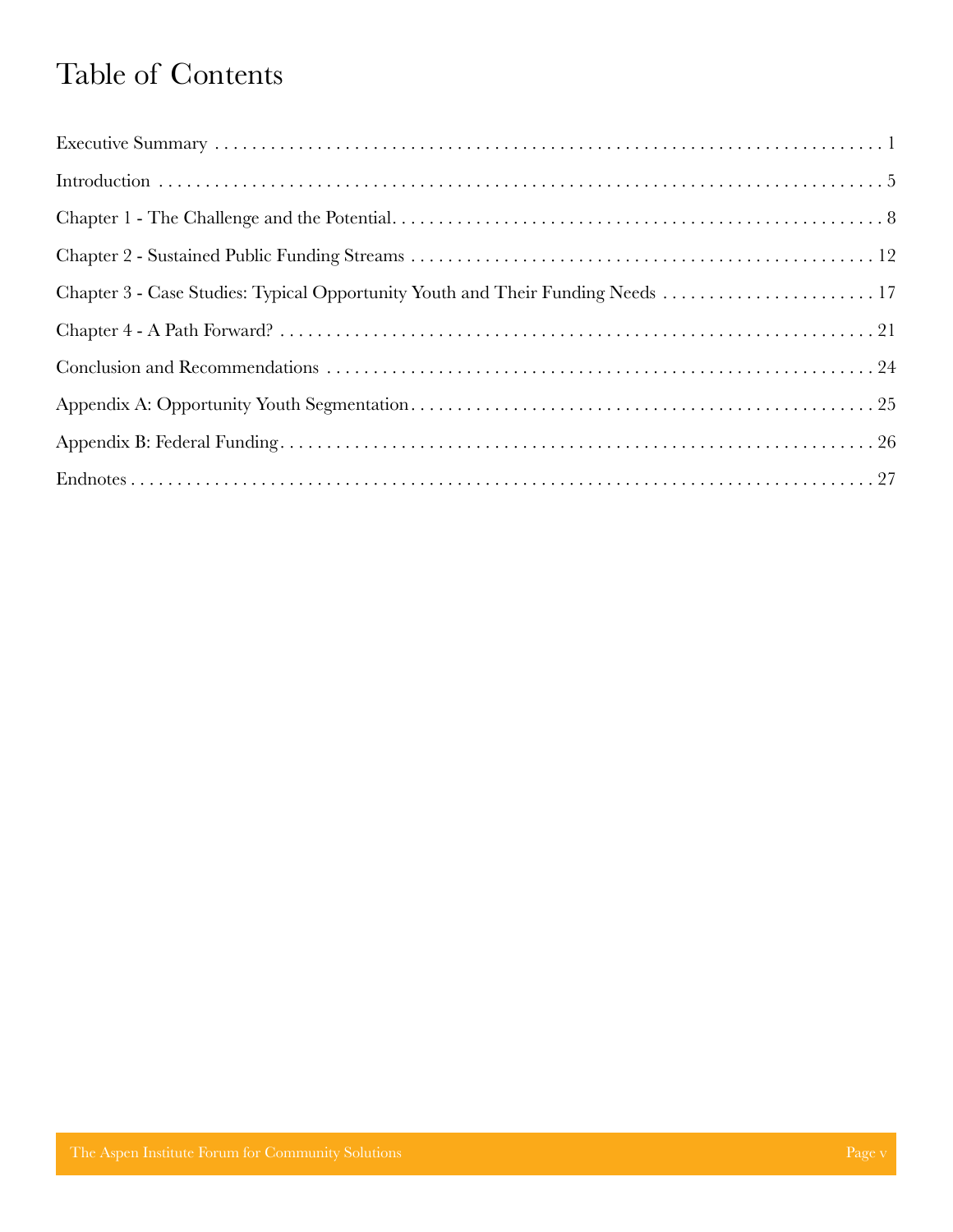# Table of Contents

| Chapter 3 - Case Studies: Typical Opportunity Youth and Their Funding Needs  17 |  |
|---------------------------------------------------------------------------------|--|
|                                                                                 |  |
|                                                                                 |  |
|                                                                                 |  |
|                                                                                 |  |
|                                                                                 |  |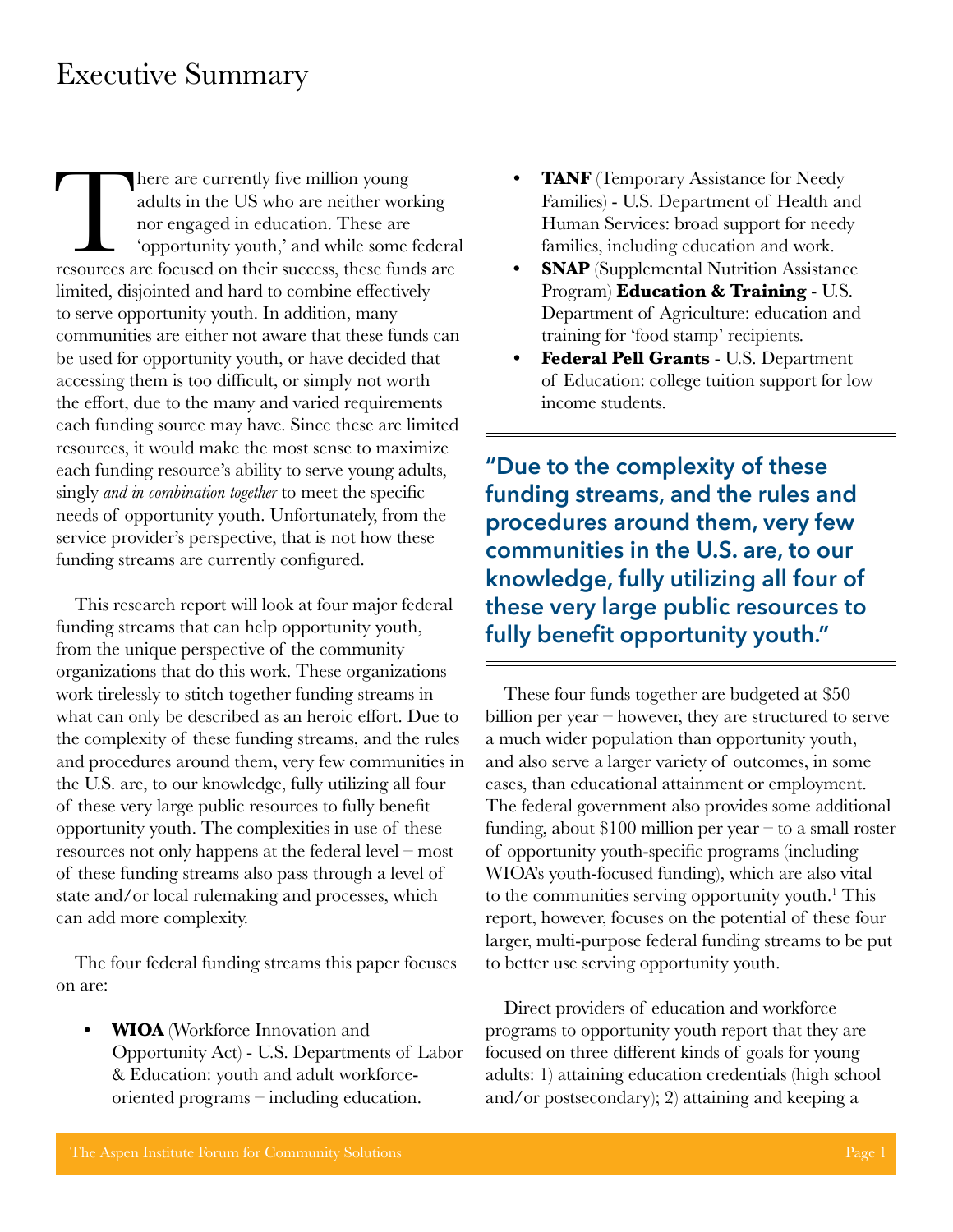### <span id="page-5-0"></span>Executive Summary

There are currently five million young<br>
adults in the US who are neither working<br>
nor engaged in education. These are<br>
"opportunity youth," and while some federal<br>
resources are focused on their success, these funds are adults in the US who are neither working nor engaged in education. These are 'opportunity youth,' and while some federal limited, disjointed and hard to combine effectively to serve opportunity youth. In addition, many communities are either not aware that these funds can be used for opportunity youth, or have decided that accessing them is too difficult, or simply not worth the effort, due to the many and varied requirements each funding source may have. Since these are limited resources, it would make the most sense to maximize each funding resource's ability to serve young adults, singly *and in combination together* to meet the specific needs of opportunity youth. Unfortunately, from the service provider's perspective, that is not how these funding streams are currently configured.

This research report will look at four major federal funding streams that can help opportunity youth, from the unique perspective of the community organizations that do this work. These organizations work tirelessly to stitch together funding streams in what can only be described as an heroic effort. Due to the complexity of these funding streams, and the rules and procedures around them, very few communities in the U.S. are, to our knowledge, fully utilizing all four of these very large public resources to fully benefit opportunity youth. The complexities in use of these resources not only happens at the federal level – most of these funding streams also pass through a level of state and/or local rulemaking and processes, which can add more complexity.

The four federal funding streams this paper focuses on are:

**• WIOA** (Workforce Innovation and Opportunity Act) - U.S. Departments of Labor & Education: youth and adult workforceoriented programs – including education.

- **• TANF** (Temporary Assistance for Needy Families) - U.S. Department of Health and Human Services: broad support for needy families, including education and work.
- **• SNAP** (Supplemental Nutrition Assistance Program) **Education & Training** - U.S. Department of Agriculture: education and training for 'food stamp' recipients.
- **• Federal Pell Grants**  U.S. Department of Education: college tuition support for low income students.

**"Due to the complexity of these funding streams, and the rules and procedures around them, very few communities in the U.S. are, to our knowledge, fully utilizing all four of these very large public resources to fully benefit opportunity youth."**

These four funds together are budgeted at \$50 billion per year – however, they are structured to serve a much wider population than opportunity youth, and also serve a larger variety of outcomes, in some cases, than educational attainment or employment. The federal government also provides some additional funding, about \$100 million per year – to a small roster of opportunity youth-specific programs (including WIOA's youth-focused funding), which are also vital to the communities serving opportunity youth.<sup>1</sup> This report, however, focuses on the potential of these four larger, multi-purpose federal funding streams to be put to better use serving opportunity youth.

Direct providers of education and workforce programs to opportunity youth report that they are focused on three different kinds of goals for young adults: 1) attaining education credentials (high school and/or postsecondary); 2) attaining and keeping a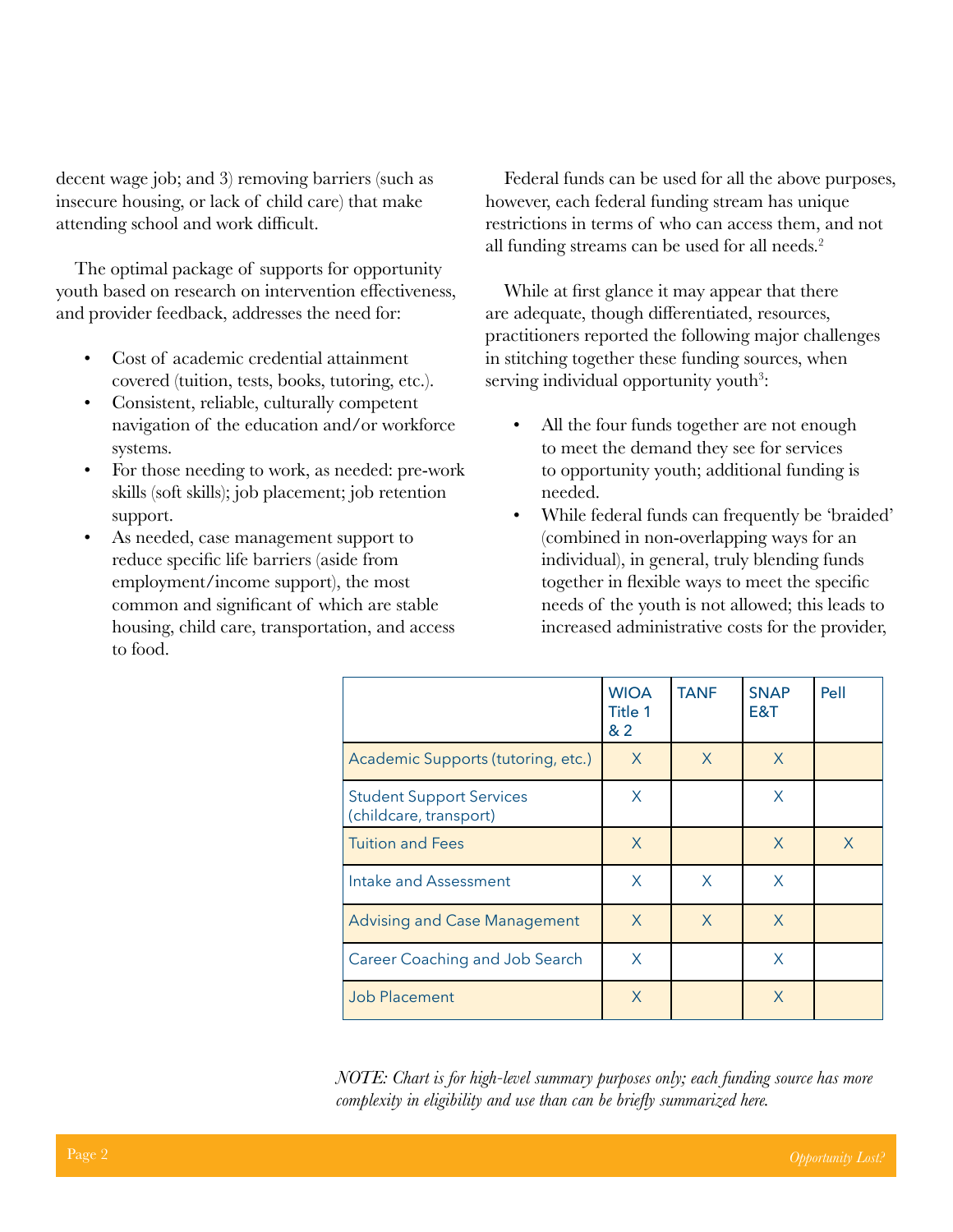decent wage job; and 3) removing barriers (such as insecure housing, or lack of child care) that make attending school and work difficult.

The optimal package of supports for opportunity youth based on research on intervention effectiveness, and provider feedback, addresses the need for:

- Cost of academic credential attainment covered (tuition, tests, books, tutoring, etc.).
- Consistent, reliable, culturally competent navigation of the education and/or workforce systems.
- For those needing to work, as needed: pre-work skills (soft skills); job placement; job retention support.
- As needed, case management support to reduce specific life barriers (aside from employment/income support), the most common and significant of which are stable housing, child care, transportation, and access to food.

Federal funds can be used for all the above purposes, however, each federal funding stream has unique restrictions in terms of who can access them, and not all funding streams can be used for all needs.<sup>2</sup>

While at first glance it may appear that there are adequate, though differentiated, resources, practitioners reported the following major challenges in stitching together these funding sources, when serving individual opportunity youth<sup>3</sup>:

- All the four funds together are not enough to meet the demand they see for services to opportunity youth; additional funding is needed.
- While federal funds can frequently be 'braided' (combined in non-overlapping ways for an individual), in general, truly blending funds together in flexible ways to meet the specific needs of the youth is not allowed; this leads to increased administrative costs for the provider,

|                                                           | <b>WIOA</b><br>Title 1<br>&2 | <b>TANF</b> | <b>SNAP</b><br>E&T | Pell |
|-----------------------------------------------------------|------------------------------|-------------|--------------------|------|
| Academic Supports (tutoring, etc.)                        | X                            | X           | $\mathsf{X}$       |      |
| <b>Student Support Services</b><br>(childcare, transport) | X                            |             | X                  |      |
| <b>Tuition and Fees</b>                                   | X                            |             | X                  | X    |
| Intake and Assessment                                     | X                            | X           | X                  |      |
| <b>Advising and Case Management</b>                       | X                            | X           | X                  |      |
| <b>Career Coaching and Job Search</b>                     | X                            |             | X                  |      |
| <b>Job Placement</b>                                      | X                            |             | X                  |      |

*NOTE: Chart is for high-level summary purposes only; each funding source has more complexity in eligibility and use than can be briefly summarized here.*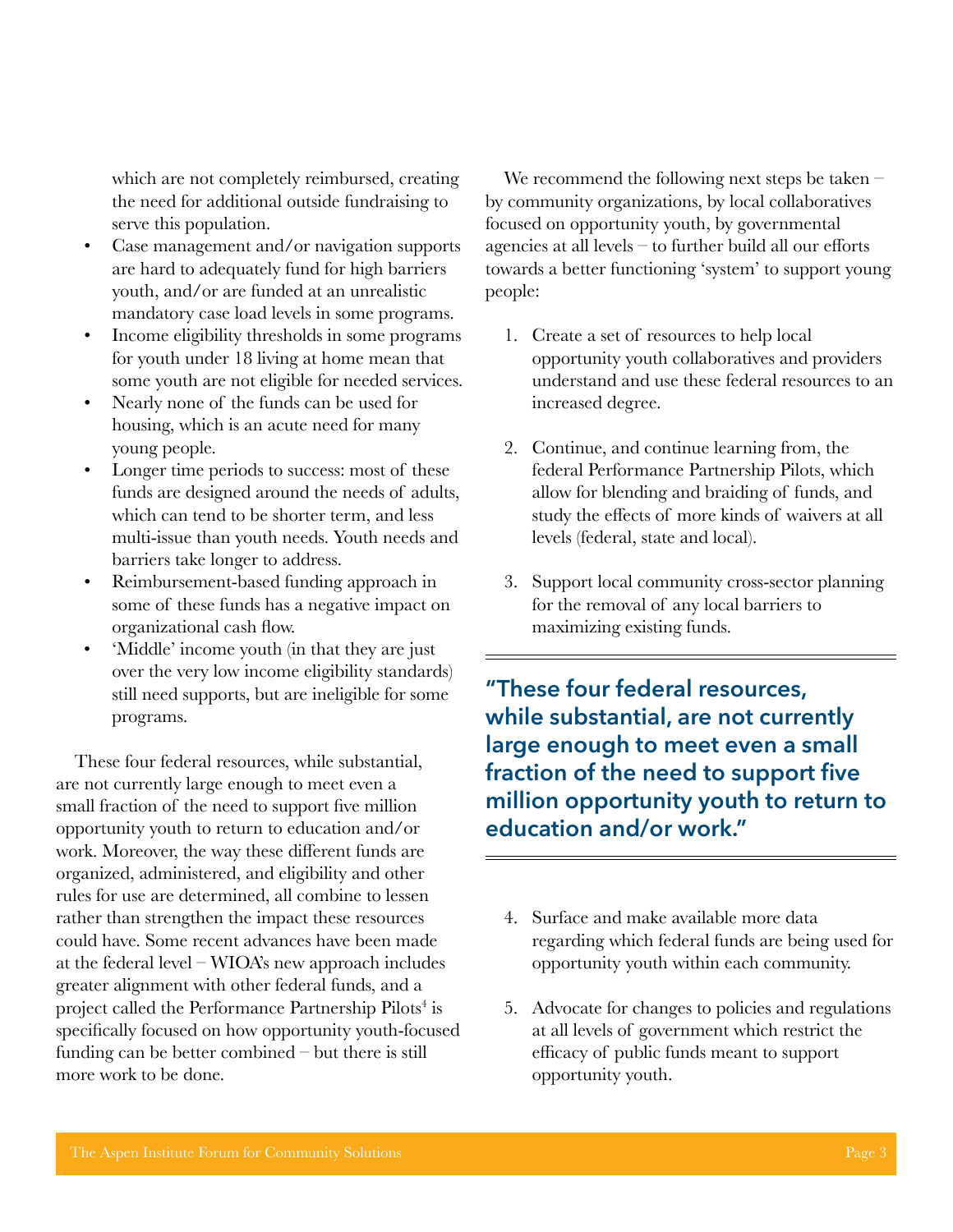which are not completely reimbursed, creating the need for additional outside fundraising to serve this population.

- Case management and/or navigation supports are hard to adequately fund for high barriers youth, and/or are funded at an unrealistic mandatory case load levels in some programs.
- Income eligibility thresholds in some programs for youth under 18 living at home mean that some youth are not eligible for needed services.
- Nearly none of the funds can be used for housing, which is an acute need for many young people.
- Longer time periods to success: most of these funds are designed around the needs of adults, which can tend to be shorter term, and less multi-issue than youth needs. Youth needs and barriers take longer to address.
- Reimbursement-based funding approach in some of these funds has a negative impact on organizational cash flow.
- 'Middle' income youth (in that they are just over the very low income eligibility standards) still need supports, but are ineligible for some programs.

These four federal resources, while substantial, are not currently large enough to meet even a small fraction of the need to support five million opportunity youth to return to education and/or work. Moreover, the way these different funds are organized, administered, and eligibility and other rules for use are determined, all combine to lessen rather than strengthen the impact these resources could have. Some recent advances have been made at the federal level – WIOA's new approach includes greater alignment with other federal funds, and a project called the Performance Partnership Pilots<sup>4</sup> is specifically focused on how opportunity youth-focused funding can be better combined – but there is still more work to be done.

We recommend the following next steps be taken – by community organizations, by local collaboratives focused on opportunity youth, by governmental agencies at all levels – to further build all our efforts towards a better functioning 'system' to support young people:

- 1. Create a set of resources to help local opportunity youth collaboratives and providers understand and use these federal resources to an increased degree.
- 2. Continue, and continue learning from, the federal Performance Partnership Pilots, which allow for blending and braiding of funds, and study the effects of more kinds of waivers at all levels (federal, state and local).
- 3. Support local community cross-sector planning for the removal of any local barriers to maximizing existing funds.

**"These four federal resources, while substantial, are not currently large enough to meet even a small fraction of the need to support five million opportunity youth to return to education and/or work."**

- 4. Surface and make available more data regarding which federal funds are being used for opportunity youth within each community.
- 5. Advocate for changes to policies and regulations at all levels of government which restrict the efficacy of public funds meant to support opportunity youth.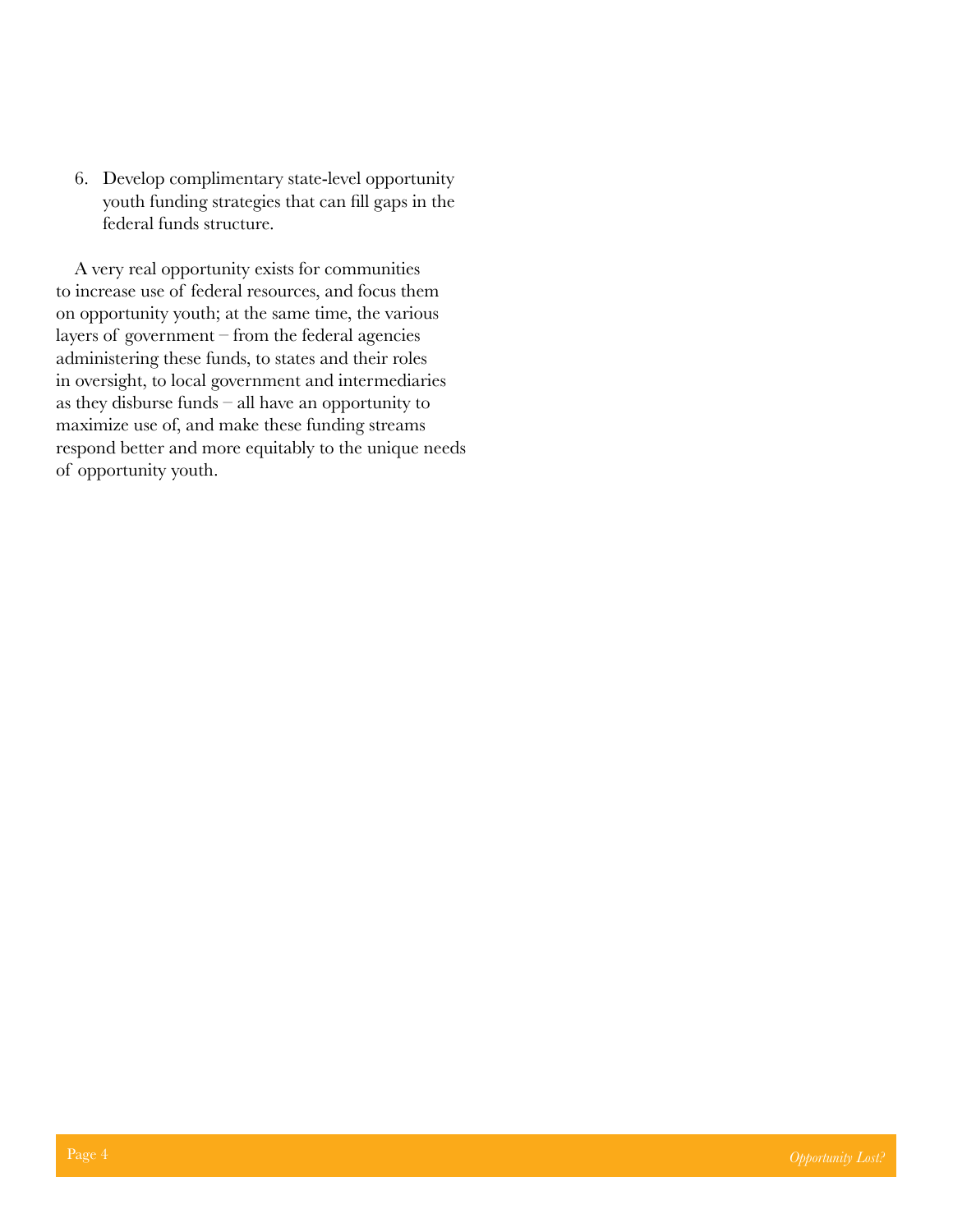6. Develop complimentary state-level opportunity youth funding strategies that can fill gaps in the federal funds structure.

A very real opportunity exists for communities to increase use of federal resources, and focus them on opportunity youth; at the same time, the various layers of government – from the federal agencies administering these funds, to states and their roles in oversight, to local government and intermediaries as they disburse funds – all have an opportunity to maximize use of, and make these funding streams respond better and more equitably to the unique needs of opportunity youth.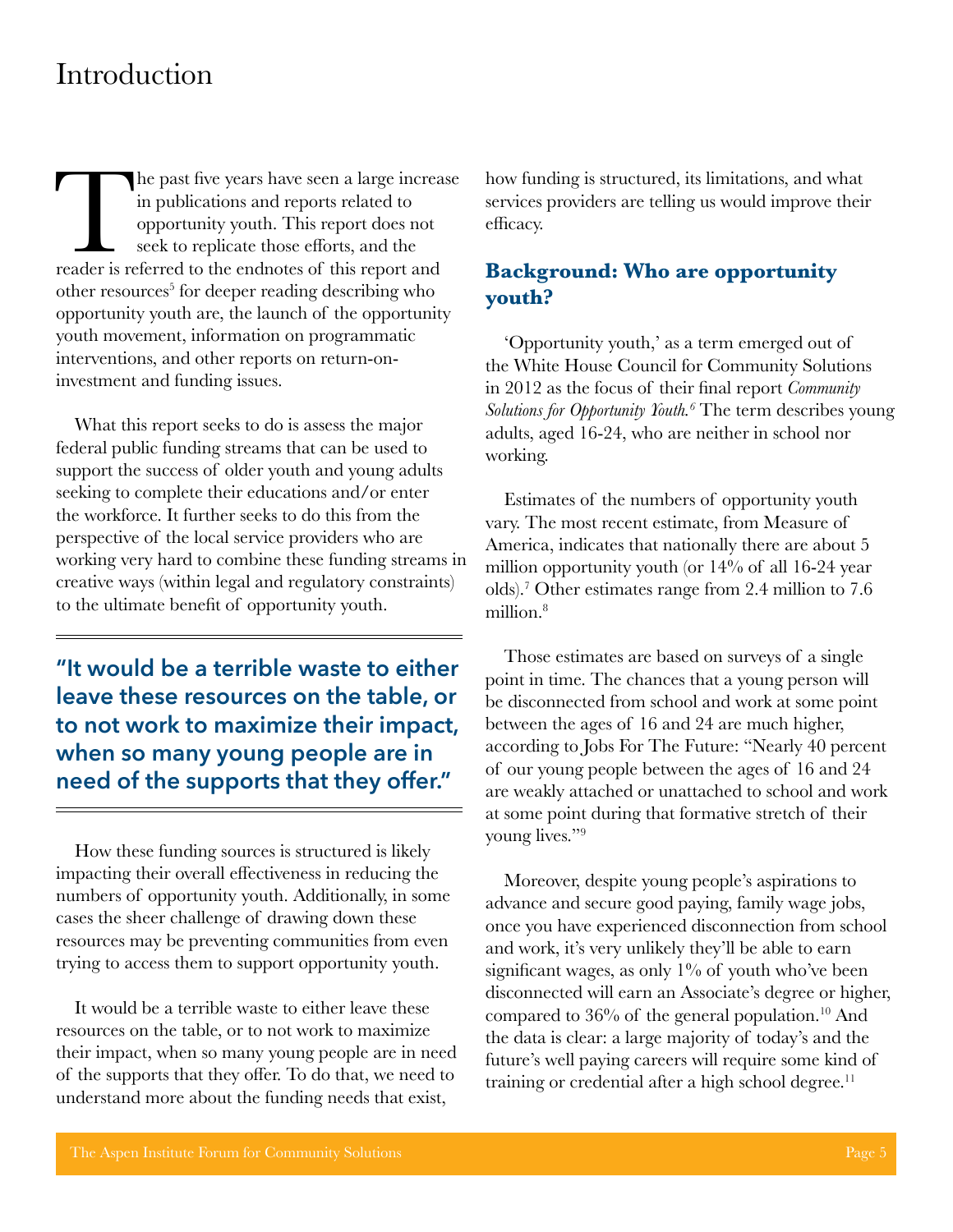### <span id="page-9-0"></span>Introduction

The past five years have seen a large increase<br>in publications and reports related to<br>opportunity youth. This report does not<br>seek to replicate those efforts, and the<br>reader is referred to the endnotes of this report and in publications and reports related to opportunity youth. This report does not seek to replicate those efforts, and the other resources<sup>5</sup> for deeper reading describing who opportunity youth are, the launch of the opportunity youth movement, information on programmatic interventions, and other reports on return-oninvestment and funding issues.

What this report seeks to do is assess the major federal public funding streams that can be used to support the success of older youth and young adults seeking to complete their educations and/or enter the workforce. It further seeks to do this from the perspective of the local service providers who are working very hard to combine these funding streams in creative ways (within legal and regulatory constraints) to the ultimate benefit of opportunity youth.

**"It would be a terrible waste to either leave these resources on the table, or to not work to maximize their impact, when so many young people are in need of the supports that they offer."**

How these funding sources is structured is likely impacting their overall effectiveness in reducing the numbers of opportunity youth. Additionally, in some cases the sheer challenge of drawing down these resources may be preventing communities from even trying to access them to support opportunity youth.

It would be a terrible waste to either leave these resources on the table, or to not work to maximize their impact, when so many young people are in need of the supports that they offer. To do that, we need to understand more about the funding needs that exist,

how funding is structured, its limitations, and what services providers are telling us would improve their efficacy.

#### **Background: Who are opportunity youth?**

'Opportunity youth,' as a term emerged out of the White House Council for Community Solutions in 2012 as the focus of their final report *Community Solutions for Opportunity Youth.<sup>6</sup>* The term describes young adults, aged 16-24, who are neither in school nor working.

Estimates of the numbers of opportunity youth vary. The most recent estimate, from Measure of America, indicates that nationally there are about 5 million opportunity youth (or 14% of all 16-24 year olds).7 Other estimates range from 2.4 million to 7.6 million.<sup>8</sup>

Those estimates are based on surveys of a single point in time. The chances that a young person will be disconnected from school and work at some point between the ages of 16 and 24 are much higher, according to Jobs For The Future: "Nearly 40 percent of our young people between the ages of 16 and 24 are weakly attached or unattached to school and work at some point during that formative stretch of their young lives."9

Moreover, despite young people's aspirations to advance and secure good paying, family wage jobs, once you have experienced disconnection from school and work, it's very unlikely they'll be able to earn significant wages, as only  $1\%$  of youth who've been disconnected will earn an Associate's degree or higher, compared to  $36\%$  of the general population.<sup>10</sup> And the data is clear: a large majority of today's and the future's well paying careers will require some kind of training or credential after a high school degree. $<sup>11</sup>$ </sup>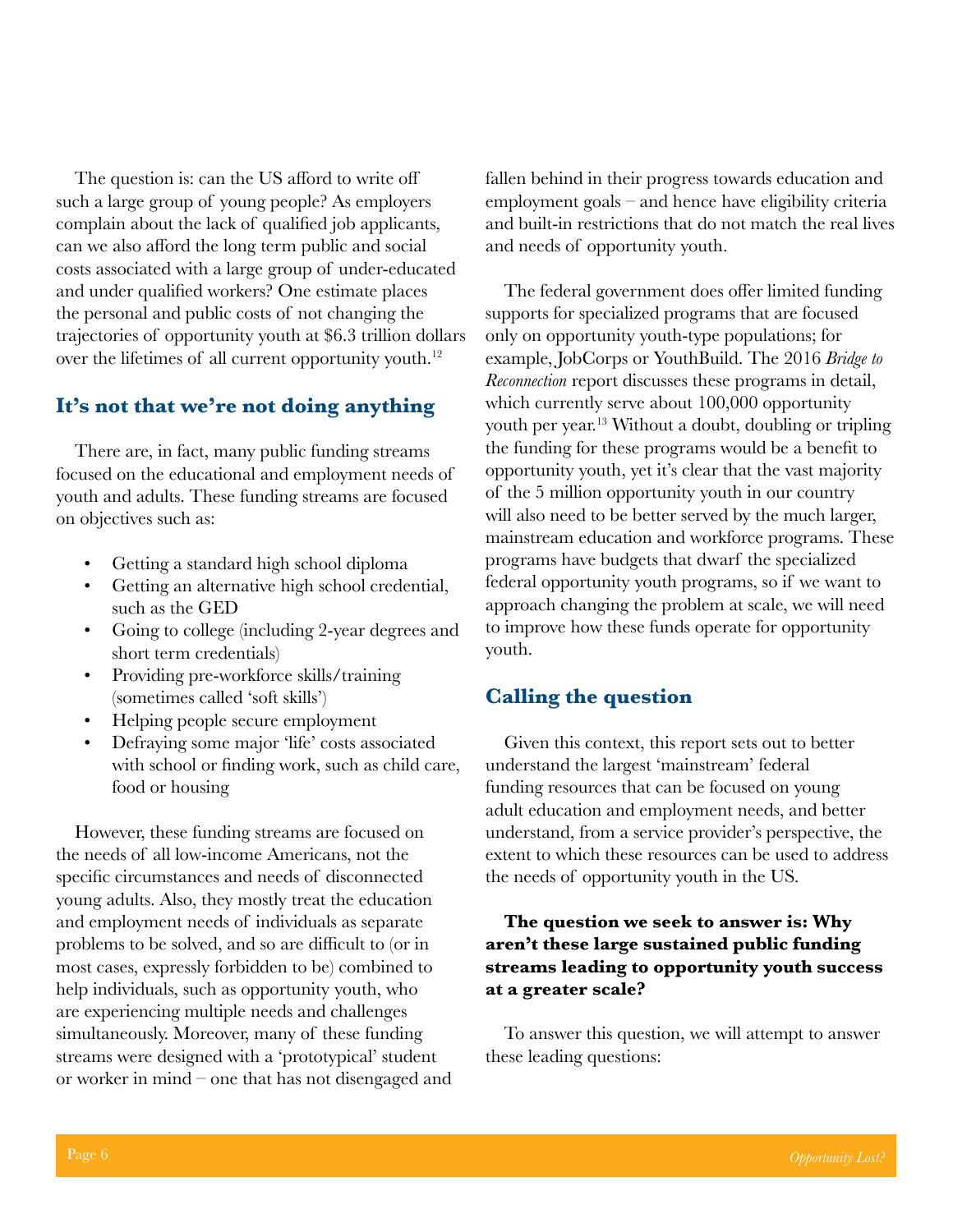The question is: can the US afford to write off such a large group of young people? As employers complain about the lack of qualified job applicants, can we also afford the long term public and social costs associated with a large group of under-educated and under qualified workers? One estimate places the personal and public costs of not changing the trajectories of opportunity youth at \$6.3 trillion dollars over the lifetimes of all current opportunity youth.<sup>12</sup>

#### **It's not that we're not doing anything**

There are, in fact, many public funding streams focused on the educational and employment needs of youth and adults. These funding streams are focused on objectives such as:

- Getting a standard high school diploma
- Getting an alternative high school credential, such as the GED
- Going to college (including 2-year degrees and short term credentials)
- Providing pre-workforce skills/training (sometimes called 'soft skills')
- Helping people secure employment
- Defraying some major 'life' costs associated with school or finding work, such as child care, food or housing

However, these funding streams are focused on the needs of all low-income Americans, not the specific circumstances and needs of disconnected young adults. Also, they mostly treat the education and employment needs of individuals as separate problems to be solved, and so are difficult to (or in most cases, expressly forbidden to be) combined to help individuals, such as opportunity youth, who are experiencing multiple needs and challenges simultaneously. Moreover, many of these funding streams were designed with a 'prototypical' student or worker in mind – one that has not disengaged and fallen behind in their progress towards education and employment goals – and hence have eligibility criteria and built-in restrictions that do not match the real lives and needs of opportunity youth.

The federal government does offer limited funding supports for specialized programs that are focused only on opportunity youth-type populations; for example, JobCorps or YouthBuild. The 2016 *Bridge to Reconnection* report discusses these programs in detail, which currently serve about 100,000 opportunity youth per year.<sup>13</sup> Without a doubt, doubling or tripling the funding for these programs would be a benefit to opportunity youth, yet it's clear that the vast majority of the 5 million opportunity youth in our country will also need to be better served by the much larger, mainstream education and workforce programs. These programs have budgets that dwarf the specialized federal opportunity youth programs, so if we want to approach changing the problem at scale, we will need to improve how these funds operate for opportunity youth.

#### **Calling the question**

Given this context, this report sets out to better understand the largest 'mainstream' federal funding resources that can be focused on young adult education and employment needs, and better understand, from a service provider's perspective, the extent to which these resources can be used to address the needs of opportunity youth in the US.

#### **The question we seek to answer is: Why aren't these large sustained public funding streams leading to opportunity youth success at a greater scale?**

To answer this question, we will attempt to answer these leading questions: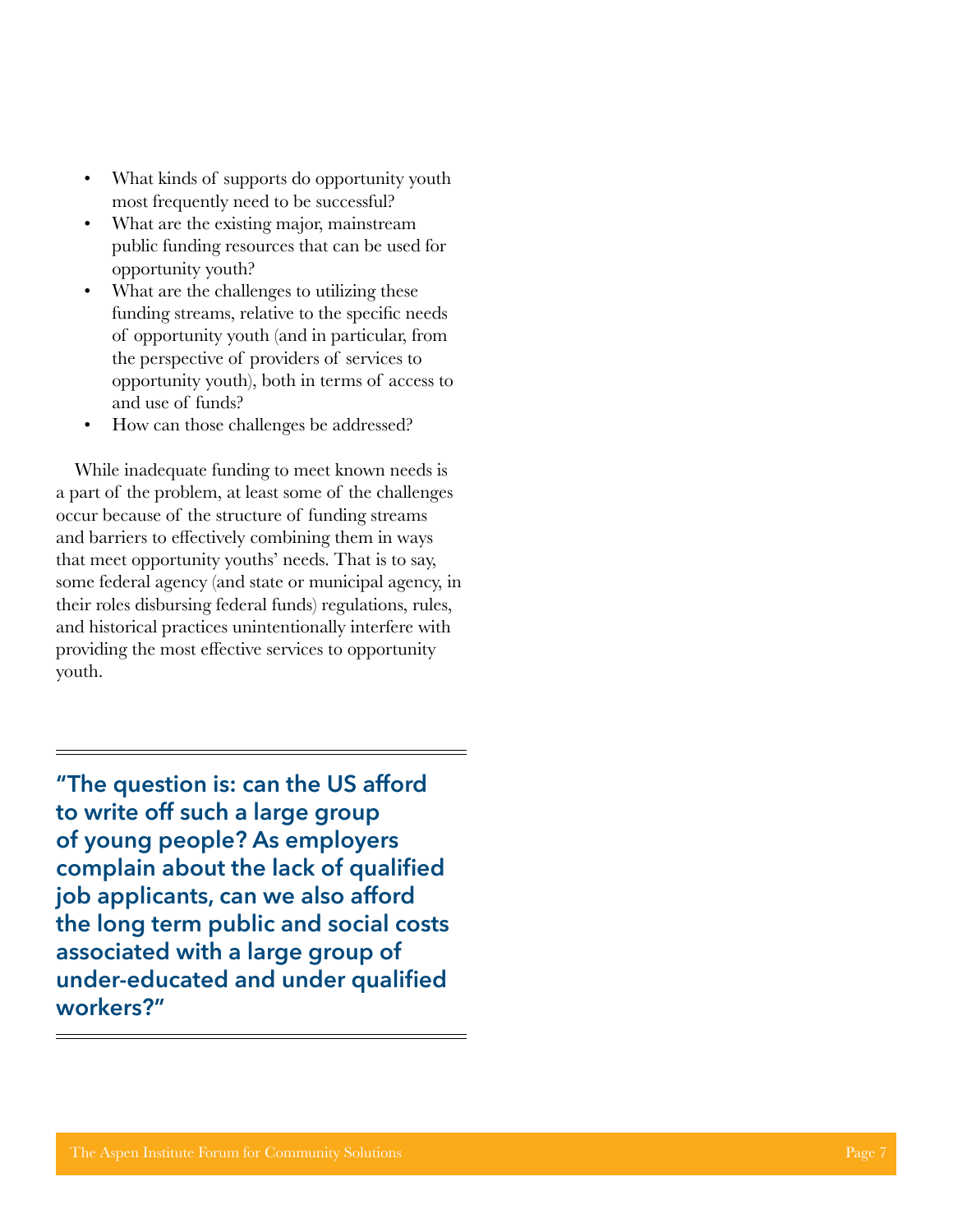- most frequently need to be successful?
- What are the existing major, mainstream public funding resources that can be used for opportunity youth?
- What are the challenges to utilizing these funding streams, relative to the specific needs of opportunity youth (and in particular, from the perspective of providers of services to opportunity youth), both in terms of access to and use of funds?
- How can those challenges be addressed?

While inadequate funding to meet known needs is a part of the problem, at least some of the challenges occur because of the structure of funding streams and barriers to effectively combining them in ways that meet opportunity youths' needs. That is to say, some federal agency (and state or municipal agency, in their roles disbursing federal funds) regulations, rules, and historical practices unintentionally interfere with providing the most effective services to opportunity youth.

The area of the existing main the model of the state of the state of the state of the state of the computed of the state of the state of the computations of the state of such that the computations with the state of suppor **"The question is: can the US afford to write off such a large group of young people? As employers complain about the lack of qualified job applicants, can we also afford the long term public and social costs associated with a large group of under-educated and under qualified workers?"**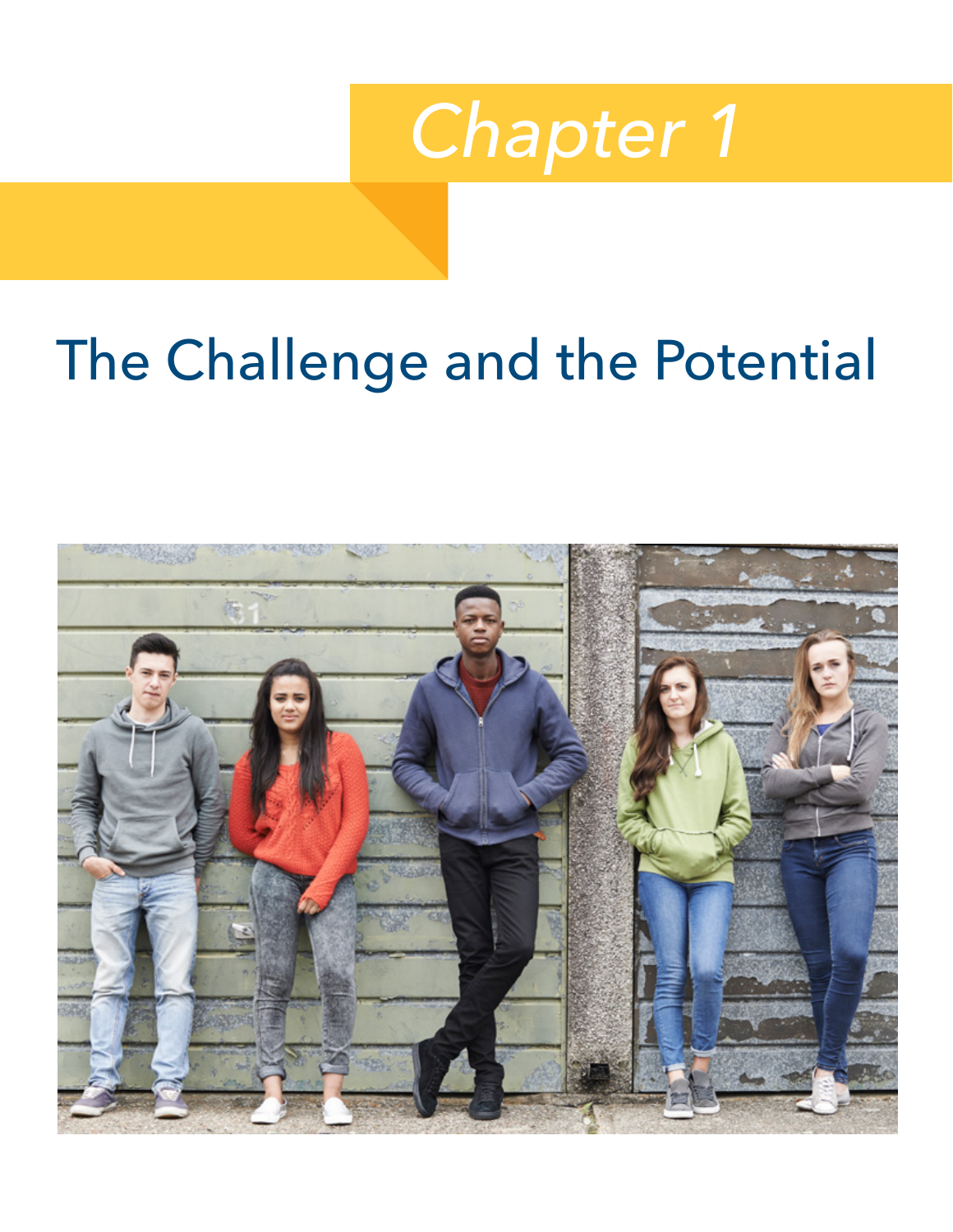

# <span id="page-12-0"></span>The Challenge and the Potential

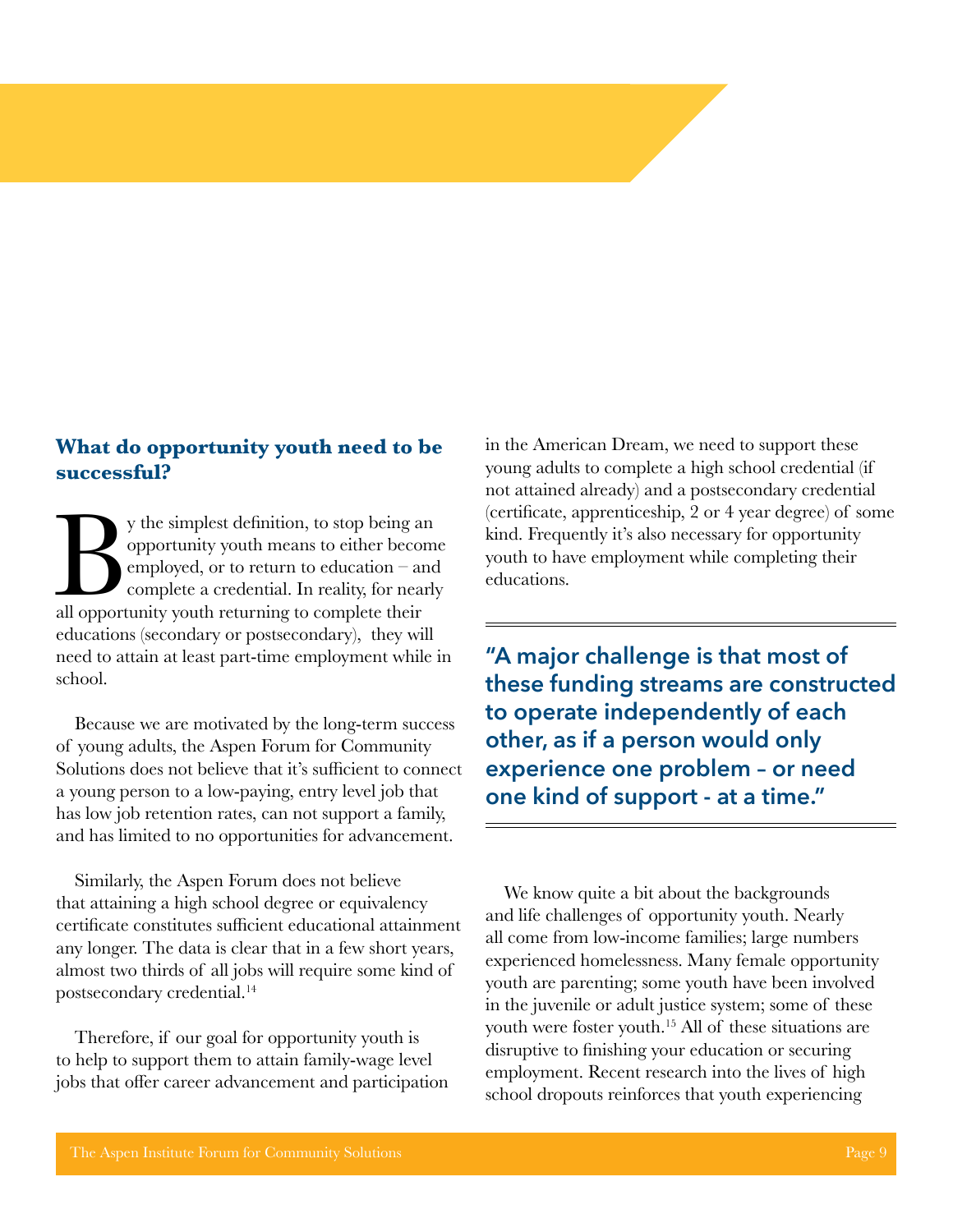#### **What do opportunity youth need to be successful?**

y the simplest definition, to stop being an opportunity youth means to either become employed, or to return to education – and complete a credential. In reality, for nearly all opportunity youth returning to complete their opportunity youth means to either become employed, or to return to education – and complete a credential. In reality, for nearly educations (secondary or postsecondary), they will need to attain at least part-time employment while in school.

Because we are motivated by the long-term success of young adults, the Aspen Forum for Community Solutions does not believe that it's sufficient to connect a young person to a low-paying, entry level job that has low job retention rates, can not support a family, and has limited to no opportunities for advancement.

Similarly, the Aspen Forum does not believe that attaining a high school degree or equivalency certificate constitutes sufficient educational attainment any longer. The data is clear that in a few short years, almost two thirds of all jobs will require some kind of postsecondary credential.<sup>14</sup>

Therefore, if our goal for opportunity youth is to help to support them to attain family-wage level jobs that offer career advancement and participation in the American Dream, we need to support these young adults to complete a high school credential (if not attained already) and a postsecondary credential (certificate, apprenticeship, 2 or 4 year degree) of some kind. Frequently it's also necessary for opportunity youth to have employment while completing their educations.

**"A major challenge is that most of these funding streams are constructed to operate independently of each other, as if a person would only experience one problem – or need one kind of support - at a time."**

We know quite a bit about the backgrounds and life challenges of opportunity youth. Nearly all come from low-income families; large numbers experienced homelessness. Many female opportunity youth are parenting; some youth have been involved in the juvenile or adult justice system; some of these youth were foster youth.<sup>15</sup> All of these situations are disruptive to finishing your education or securing employment. Recent research into the lives of high school dropouts reinforces that youth experiencing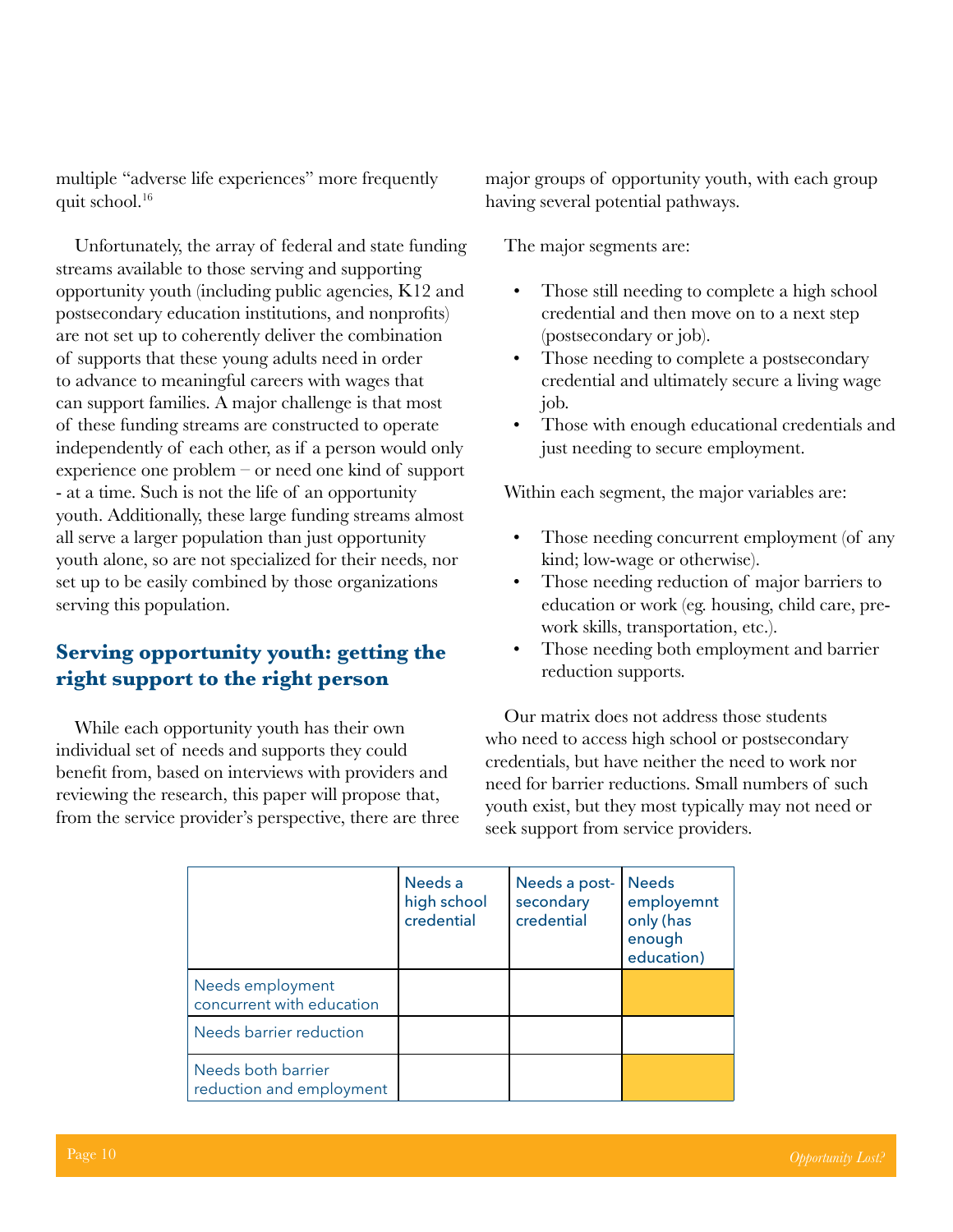multiple "adverse life experiences" more frequently quit school.16

Unfortunately, the array of federal and state funding streams available to those serving and supporting opportunity youth (including public agencies, K12 and postsecondary education institutions, and nonprofits) are not set up to coherently deliver the combination of supports that these young adults need in order to advance to meaningful careers with wages that can support families. A major challenge is that most of these funding streams are constructed to operate independently of each other, as if a person would only experience one problem – or need one kind of support - at a time. Such is not the life of an opportunity youth. Additionally, these large funding streams almost all serve a larger population than just opportunity youth alone, so are not specialized for their needs, nor set up to be easily combined by those organizations serving this population.

#### **Serving opportunity youth: getting the right support to the right person**

While each opportunity youth has their own individual set of needs and supports they could benefit from, based on interviews with providers and reviewing the research, this paper will propose that, from the service provider's perspective, there are three

major groups of opportunity youth, with each group having several potential pathways.

The major segments are:

- Those still needing to complete a high school credential and then move on to a next step (postsecondary or job).
- Those needing to complete a postsecondary credential and ultimately secure a living wage job.
- Those with enough educational credentials and just needing to secure employment.

Within each segment, the major variables are:

- Those needing concurrent employment (of any kind; low-wage or otherwise).
- Those needing reduction of major barriers to education or work (eg. housing, child care, prework skills, transportation, etc.).
- Those needing both employment and barrier reduction supports.

Our matrix does not address those students who need to access high school or postsecondary credentials, but have neither the need to work nor need for barrier reductions. Small numbers of such youth exist, but they most typically may not need or seek support from service providers.

|                                                | Needs a<br>high school<br>credential | Needs a post-<br>secondary<br>credential | <b>Needs</b><br>employemnt<br>only (has<br>enough<br>education) |
|------------------------------------------------|--------------------------------------|------------------------------------------|-----------------------------------------------------------------|
| Needs employment<br>concurrent with education  |                                      |                                          |                                                                 |
| Needs barrier reduction                        |                                      |                                          |                                                                 |
| Needs both barrier<br>reduction and employment |                                      |                                          |                                                                 |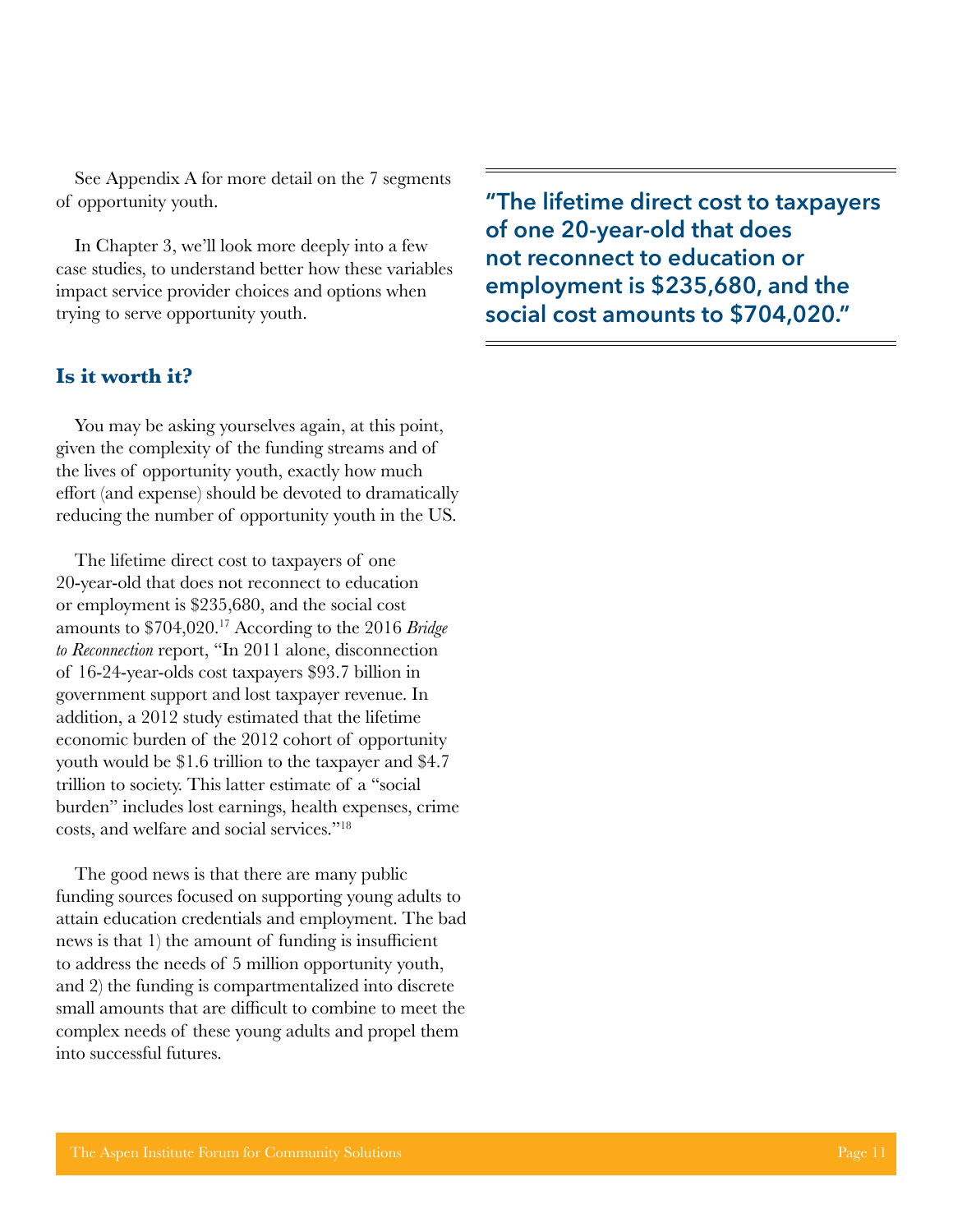See Appendix A for more detail on the 7 segments of opportunity youth.

In Chapter 3, we'll look more deeply into a few case studies, to understand better how these variables impact service provider choices and options when trying to serve opportunity youth.

#### **Is it worth it?**

You may be asking yourselves again, at this point, given the complexity of the funding streams and of the lives of opportunity youth, exactly how much effort (and expense) should be devoted to dramatically reducing the number of opportunity youth in the US.

The lifetime direct cost to taxpayers of one 20-year-old that does not reconnect to education or employment is \$235,680, and the social cost amounts to \$704,020.17 According to the 2016 *Bridge to Reconnection* report, "In 2011 alone, disconnection of 16-24-year-olds cost taxpayers \$93.7 billion in government support and lost taxpayer revenue. In addition, a 2012 study estimated that the lifetime economic burden of the 2012 cohort of opportunity youth would be \$1.6 trillion to the taxpayer and \$4.7 trillion to society. This latter estimate of a "social burden" includes lost earnings, health expenses, crime costs, and welfare and social services."18

The good news is that there are many public funding sources focused on supporting young adults to attain education credentials and employment. The bad news is that 1) the amount of funding is insufficient to address the needs of 5 million opportunity youth, and 2) the funding is compartmentalized into discrete small amounts that are difficult to combine to meet the complex needs of these young adults and propel them into successful futures.

**"The lifetime direct cost to taxpayers of one 20-year-old that does not reconnect to education or employment is \$235,680, and the social cost amounts to \$704,020."**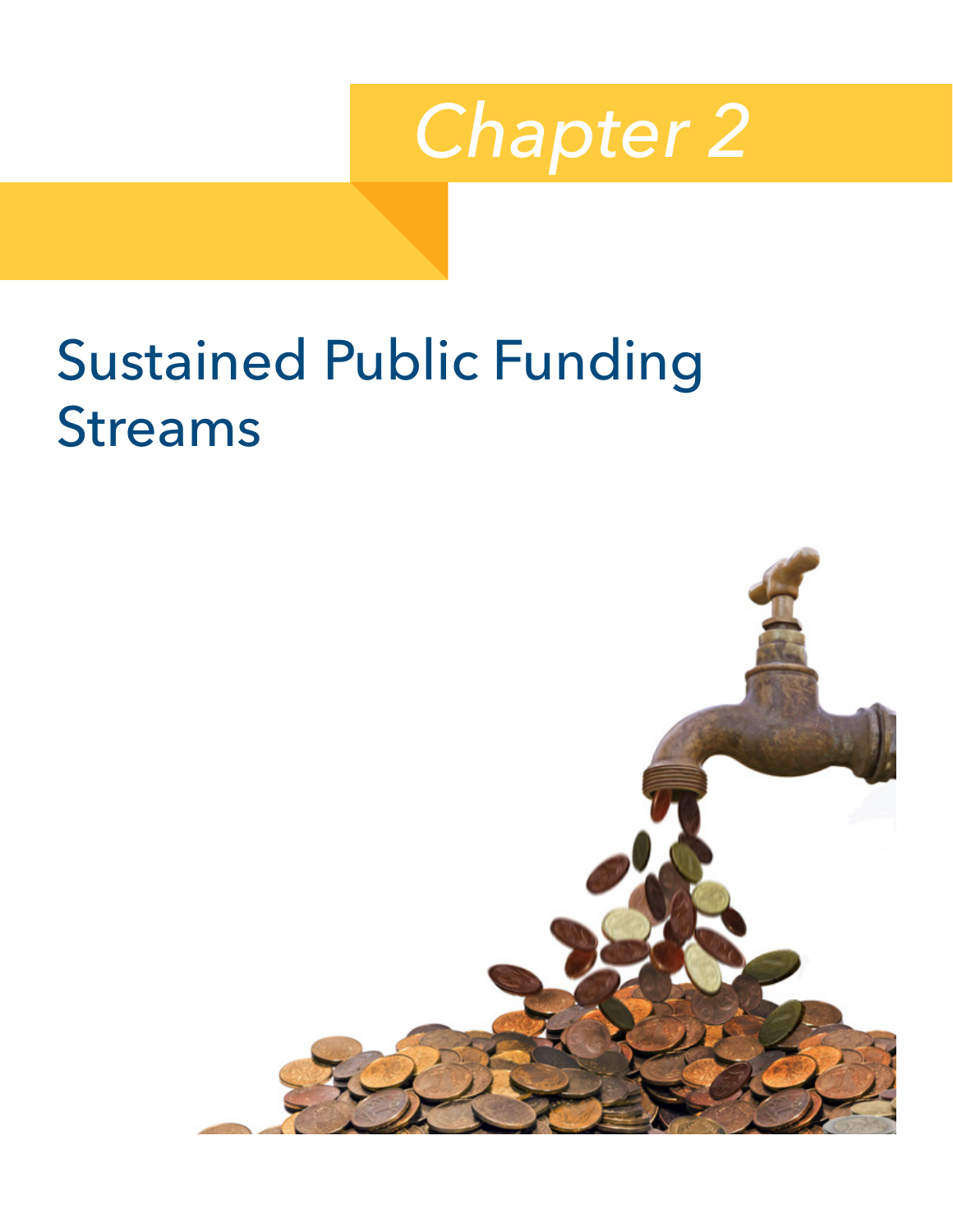

# <span id="page-16-0"></span>Sustained Public Funding Streams

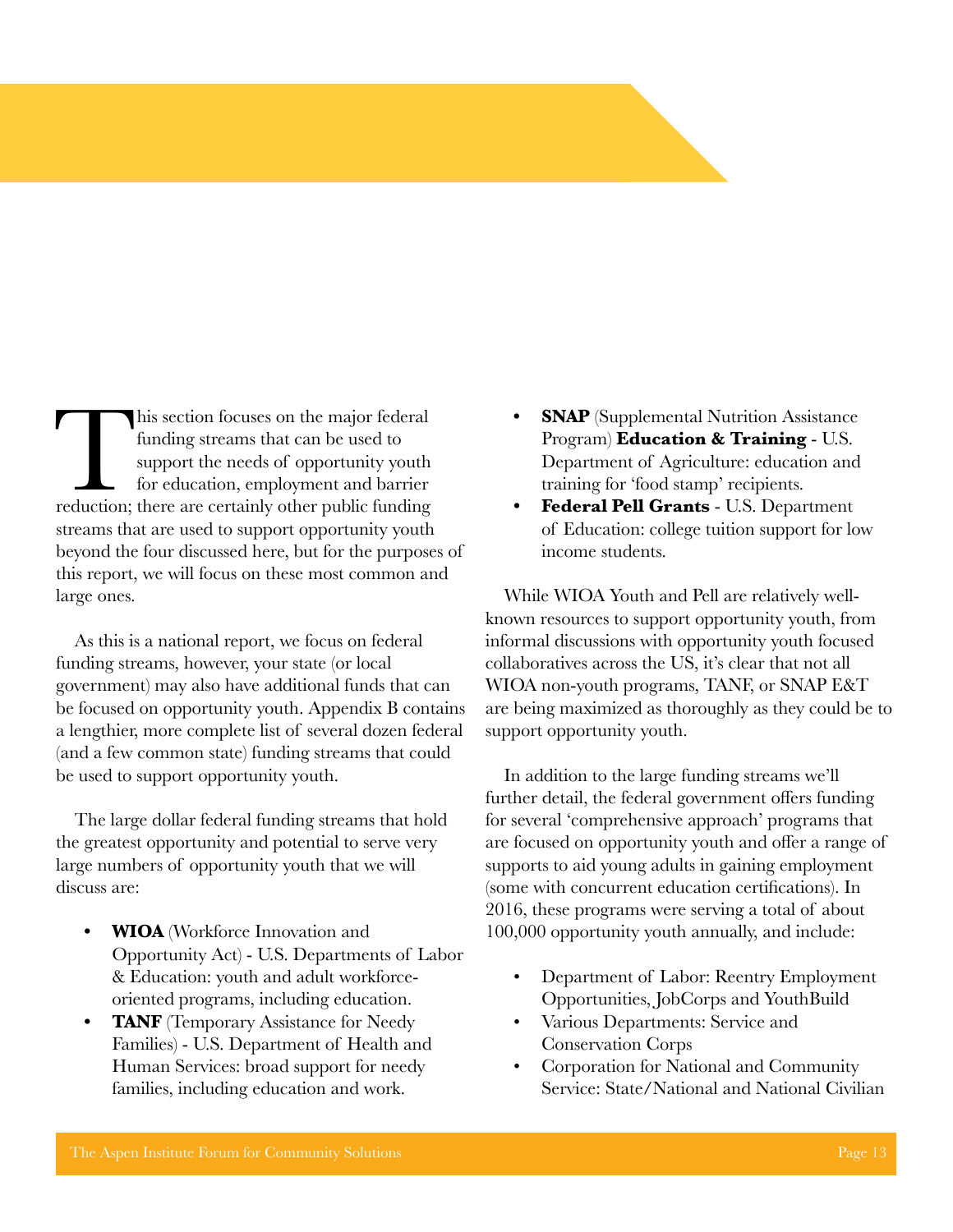This section focuses on the major federal funding streams that can be used to support the needs of opportunity youth for education, employment and barrier reduction; there are certainly other public funding funding streams that can be used to support the needs of opportunity youth for education, employment and barrier streams that are used to support opportunity youth beyond the four discussed here, but for the purposes of this report, we will focus on these most common and large ones.

As this is a national report, we focus on federal funding streams, however, your state (or local government) may also have additional funds that can be focused on opportunity youth. Appendix B contains a lengthier, more complete list of several dozen federal (and a few common state) funding streams that could be used to support opportunity youth.

The large dollar federal funding streams that hold the greatest opportunity and potential to serve very large numbers of opportunity youth that we will discuss are:

- **• WIOA** (Workforce Innovation and Opportunity Act) - U.S. Departments of Labor & Education: youth and adult workforceoriented programs, including education.
- **• TANF** (Temporary Assistance for Needy Families) - U.S. Department of Health and Human Services: broad support for needy families, including education and work.
- **• SNAP** (Supplemental Nutrition Assistance Program) **Education & Training** - U.S. Department of Agriculture: education and training for 'food stamp' recipients.
- **• Federal Pell Grants** U.S. Department of Education: college tuition support for low income students.

While WIOA Youth and Pell are relatively wellknown resources to support opportunity youth, from informal discussions with opportunity youth focused collaboratives across the US, it's clear that not all WIOA non-youth programs, TANF, or SNAP E&T are being maximized as thoroughly as they could be to support opportunity youth.

In addition to the large funding streams we'll further detail, the federal government offers funding for several 'comprehensive approach' programs that are focused on opportunity youth and offer a range of supports to aid young adults in gaining employment (some with concurrent education certifications). In 2016, these programs were serving a total of about 100,000 opportunity youth annually, and include:

- Department of Labor: Reentry Employment Opportunities, JobCorps and YouthBuild
- Various Departments: Service and Conservation Corps
- Corporation for National and Community Service: State/National and National Civilian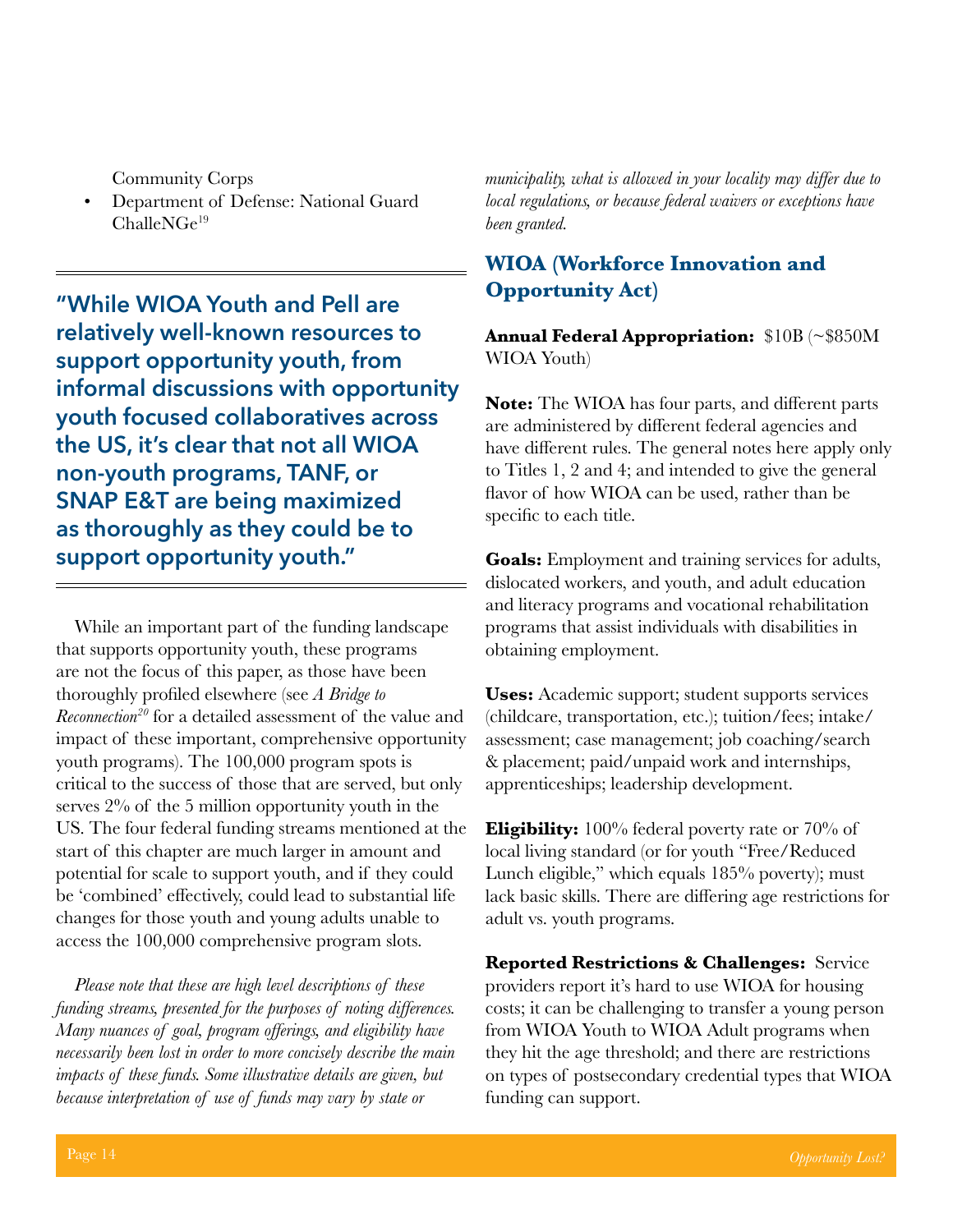Community Corps

• Department of Defense: National Guard ChalleNGe19

**"While WIOA Youth and Pell are relatively well-known resources to support opportunity youth, from informal discussions with opportunity youth focused collaboratives across the US, it's clear that not all WIOA non-youth programs, TANF, or SNAP E&T are being maximized as thoroughly as they could be to support opportunity youth."**

While an important part of the funding landscape that supports opportunity youth, these programs are not the focus of this paper, as those have been thoroughly profiled elsewhere (see *A Bridge to Reconnection20* for a detailed assessment of the value and impact of these important, comprehensive opportunity youth programs). The 100,000 program spots is critical to the success of those that are served, but only serves 2% of the 5 million opportunity youth in the US. The four federal funding streams mentioned at the start of this chapter are much larger in amount and potential for scale to support youth, and if they could be 'combined' effectively, could lead to substantial life changes for those youth and young adults unable to access the 100,000 comprehensive program slots.

*Please note that these are high level descriptions of these funding streams, presented for the purposes of noting differences. Many nuances of goal, program offerings, and eligibility have necessarily been lost in order to more concisely describe the main impacts of these funds. Some illustrative details are given, but because interpretation of use of funds may vary by state or* 

*municipality, what is allowed in your locality may differ due to local regulations, or because federal waivers or exceptions have been granted.*

#### **WIOA (Workforce Innovation and Opportunity Act)**

**Annual Federal Appropriation:** \$10B (~\$850M WIOA Youth)

**Note:** The WIOA has four parts, and different parts are administered by different federal agencies and have different rules. The general notes here apply only to Titles 1, 2 and 4; and intended to give the general flavor of how WIOA can be used, rather than be specific to each title.

**Goals:** Employment and training services for adults, dislocated workers, and youth, and adult education and literacy programs and vocational rehabilitation programs that assist individuals with disabilities in obtaining employment.

**Uses:** Academic support; student supports services (childcare, transportation, etc.); tuition/fees; intake/ assessment; case management; job coaching/search & placement; paid/unpaid work and internships, apprenticeships; leadership development.

**Eligibility:** 100% federal poverty rate or 70% of local living standard (or for youth "Free/Reduced Lunch eligible," which equals 185% poverty); must lack basic skills. There are differing age restrictions for adult vs. youth programs.

**Reported Restrictions & Challenges:** Service providers report it's hard to use WIOA for housing costs; it can be challenging to transfer a young person from WIOA Youth to WIOA Adult programs when they hit the age threshold; and there are restrictions on types of postsecondary credential types that WIOA funding can support.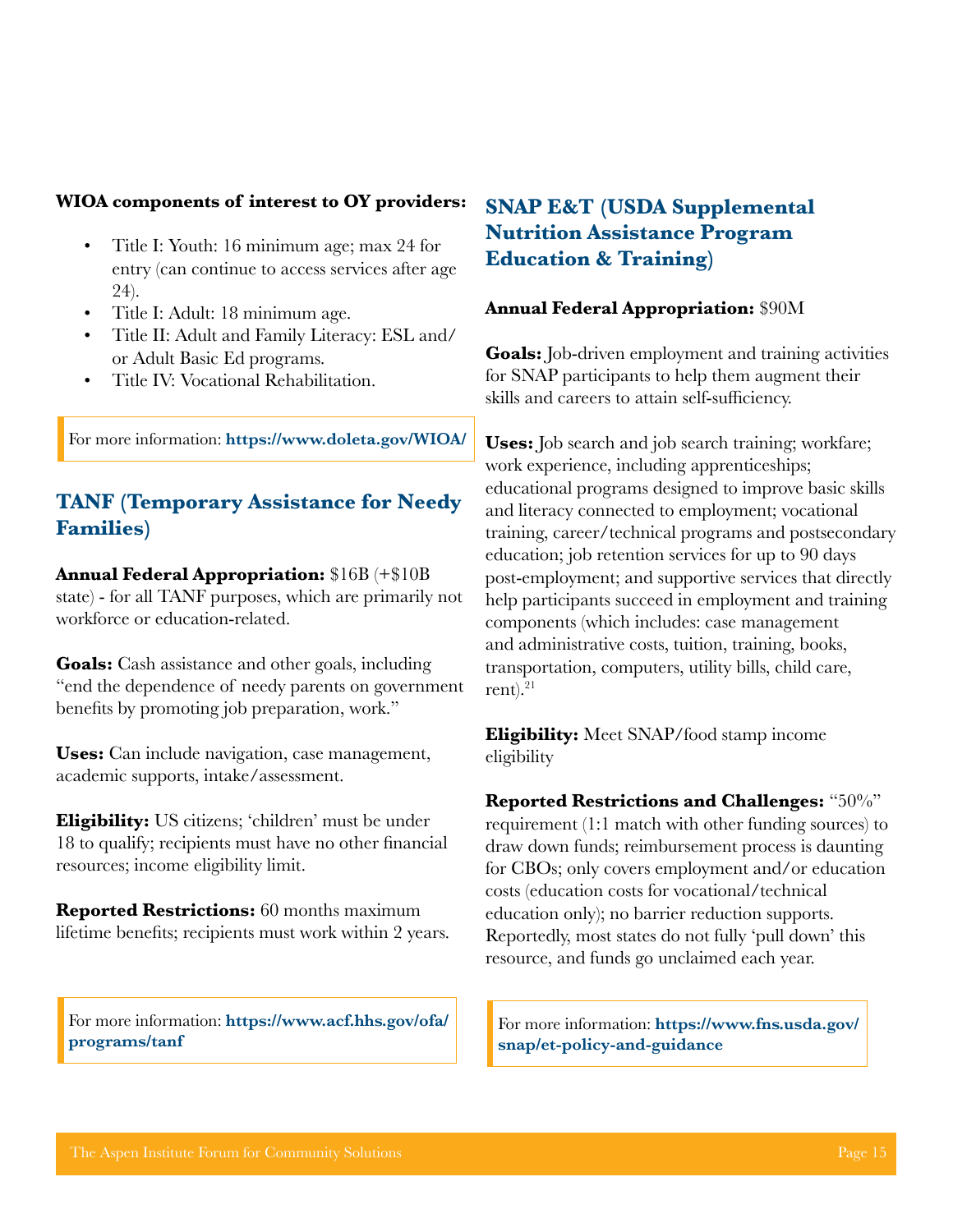#### **WIOA components of interest to OY providers:**

- Title I: Youth: 16 minimum age; max 24 for entry (can continue to access services after age 24).
- Title I: Adult: 18 minimum age.
- Title II: Adult and Family Literacy: ESL and/ or Adult Basic Ed programs.
- Title IV: Vocational Rehabilitation.

For more information: **<https://www.doleta.gov/WIOA/>**

#### **TANF (Temporary Assistance for Needy Families)**

**Annual Federal Appropriation:** \$16B (+\$10B state) - for all TANF purposes, which are primarily not workforce or education-related.

**Goals:** Cash assistance and other goals, including "end the dependence of needy parents on government benefits by promoting job preparation, work."

**Uses:** Can include navigation, case management, academic supports, intake/assessment.

**Eligibility:** US citizens; 'children' must be under 18 to qualify; recipients must have no other financial resources; income eligibility limit.

**Reported Restrictions:** 60 months maximum lifetime benefits; recipients must work within 2 years.

For more information: **[https://www.acf.hhs.gov/ofa/](https://www.acf.hhs.gov/ofa/programs/tanf) [programs/tanf](https://www.acf.hhs.gov/ofa/programs/tanf)**

#### **SNAP E&T (USDA Supplemental Nutrition Assistance Program Education & Training)**

#### **Annual Federal Appropriation:** \$90M

**Goals:** Job-driven employment and training activities for SNAP participants to help them augment their skills and careers to attain self-sufficiency.

**Uses:** Job search and job search training; workfare; work experience, including apprenticeships; educational programs designed to improve basic skills and literacy connected to employment; vocational training, career/technical programs and postsecondary education; job retention services for up to 90 days post-employment; and supportive services that directly help participants succeed in employment and training components (which includes: case management and administrative costs, tuition, training, books, transportation, computers, utility bills, child care, rent). $^{21}$ 

**Eligibility:** Meet SNAP/food stamp income eligibility

**Reported Restrictions and Challenges:** "50%" requirement (1:1 match with other funding sources) to draw down funds; reimbursement process is daunting for CBOs; only covers employment and/or education costs (education costs for vocational/technical education only); no barrier reduction supports. Reportedly, most states do not fully 'pull down' this resource, and funds go unclaimed each year.

For more information: **[https://www.fns.usda.gov/](https://www.fns.usda.gov/snap/et-policy-and-guidance) [snap/et-policy-and-guidance](https://www.fns.usda.gov/snap/et-policy-and-guidance)**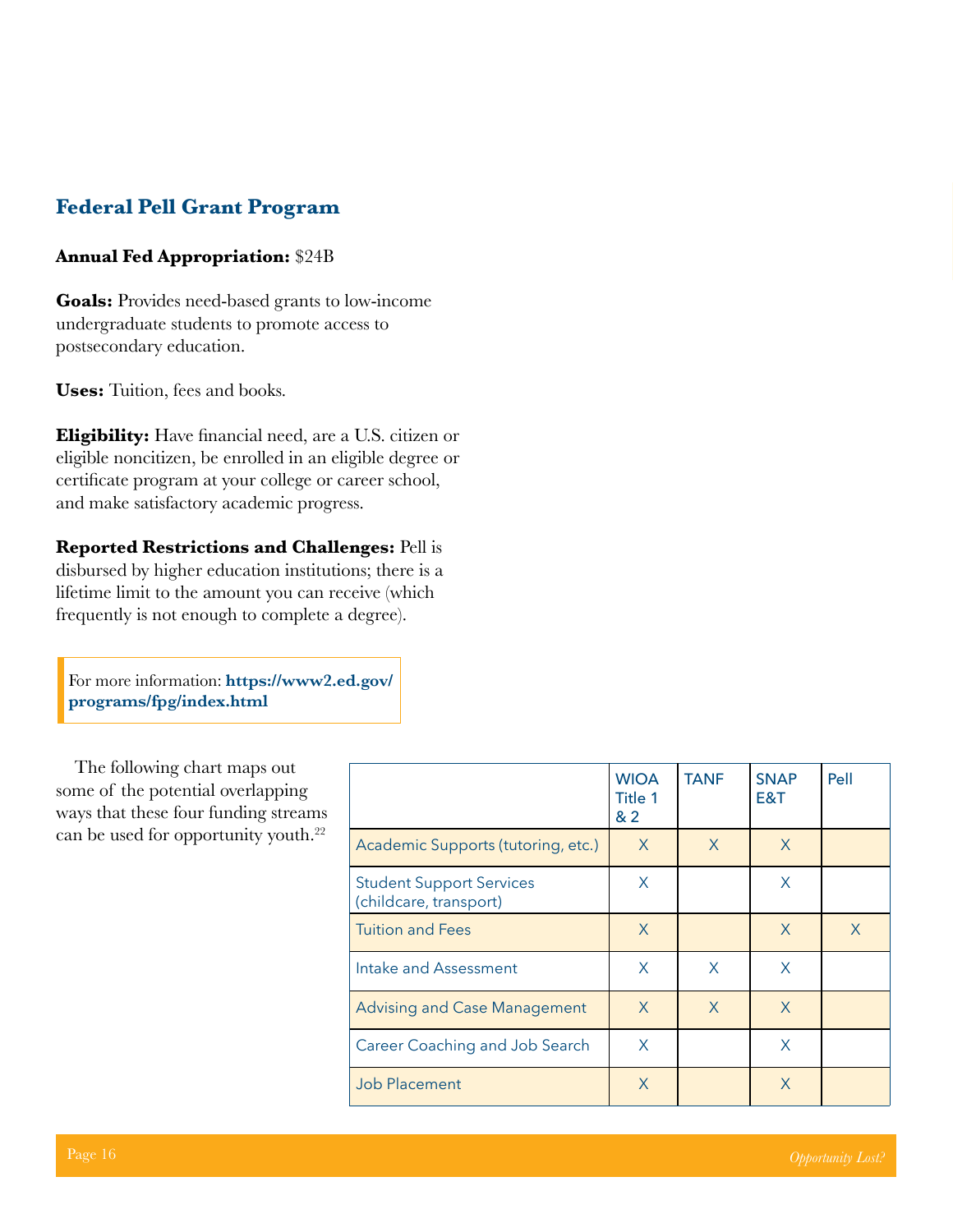#### **Federal Pell Grant Program**

#### **Annual Fed Appropriation:** \$24B

**Goals:** Provides need-based grants to low-income undergraduate students to promote access to postsecondary education.

**Uses:** Tuition, fees and books.

**Eligibility:** Have financial need, are a U.S. citizen or eligible noncitizen, be enrolled in an eligible degree or certificate program at your college or career school, and make satisfactory academic progress.

**Reported Restrictions and Challenges:** Pell is disbursed by higher education institutions; there is a lifetime limit to the amount you can receive (which frequently is not enough to complete a degree).

For more information: **[https://www2.ed.gov/](https://www2.ed.gov/programs/fpg/index.html) [programs/fpg/index.html](https://www2.ed.gov/programs/fpg/index.html)**

The following chart maps out some of the potential overlapping ways that these four funding streams can be used for opportunity youth.<sup>22</sup>

|                                                           | <b>WIOA</b><br>Title 1<br>&2 | <b>TANF</b> | <b>SNAP</b><br>E&T | Pell    |
|-----------------------------------------------------------|------------------------------|-------------|--------------------|---------|
| Academic Supports (tutoring, etc.)                        | X                            | X           | X                  |         |
| <b>Student Support Services</b><br>(childcare, transport) | X                            |             | X                  |         |
| <b>Tuition and Fees</b>                                   | X                            |             | X                  | $\sf X$ |
| Intake and Assessment                                     | X                            | X           | X                  |         |
| <b>Advising and Case Management</b>                       | $\chi$                       | X           | $\mathsf{X}$       |         |
| Career Coaching and Job Search                            | X                            |             | X                  |         |
| <b>Job Placement</b>                                      | X                            |             | X                  |         |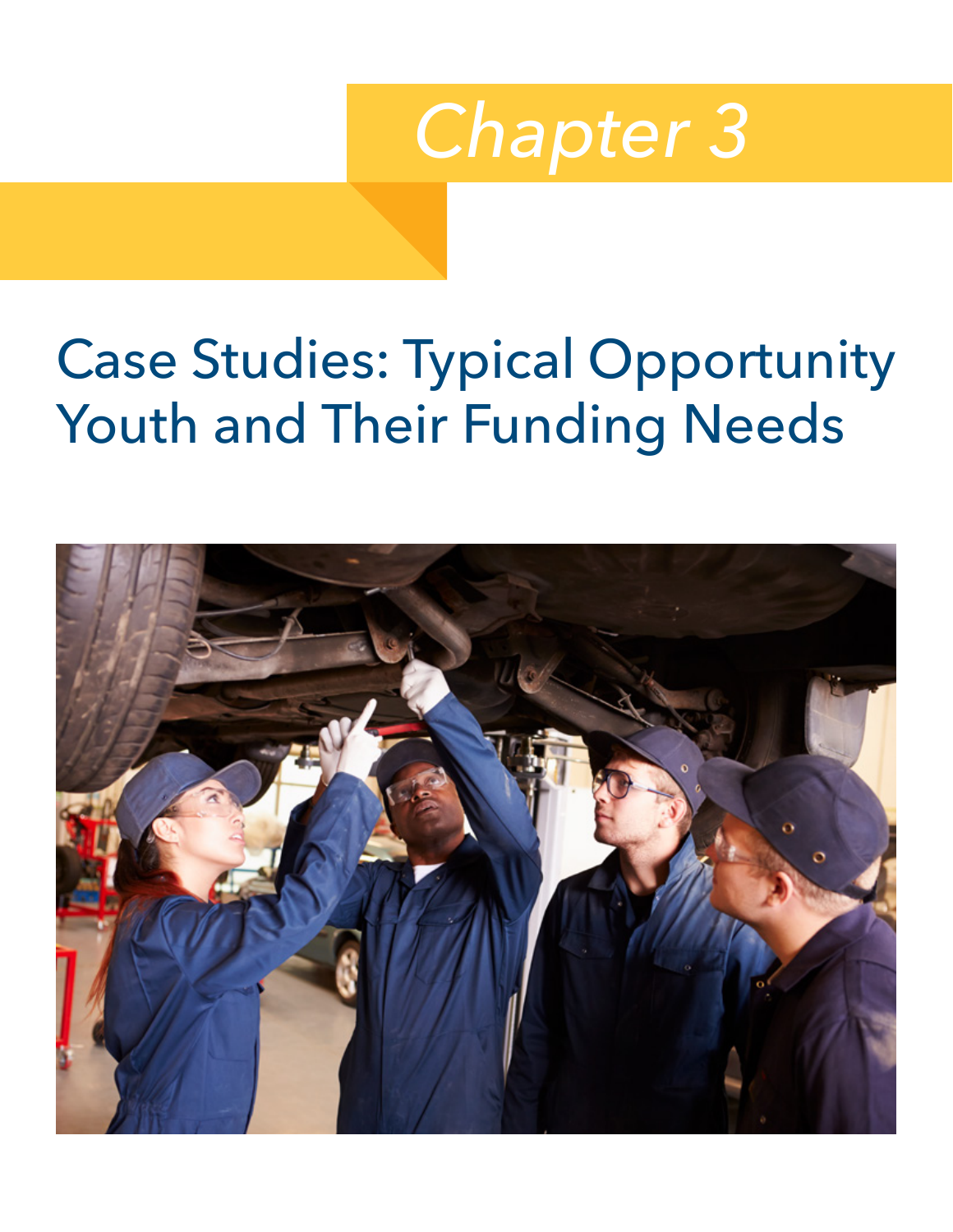

# <span id="page-21-0"></span>Case Studies: Typical Opportunity Youth and Their Funding Needs

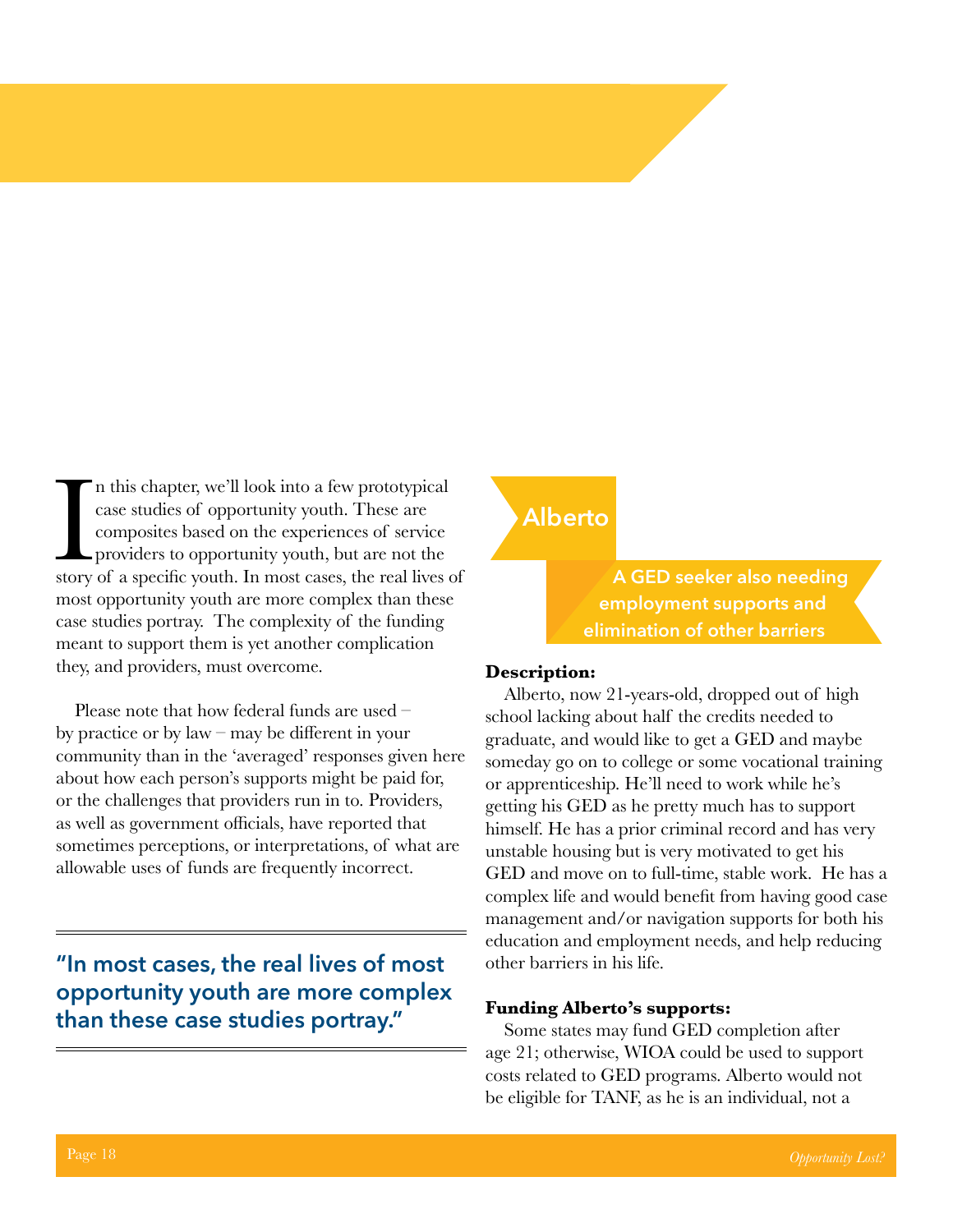In this chapter, we'll look into a few prototypical case studies of opportunity youth. These are composites based on the experiences of service providers to opportunity youth, but are not the story of a specific youth. In n this chapter, we'll look into a few prototypical case studies of opportunity youth. These are composites based on the experiences of service providers to opportunity youth, but are not the most opportunity youth are more complex than these case studies portray. The complexity of the funding meant to support them is yet another complication they, and providers, must overcome.

Please note that how federal funds are used – by practice or by law – may be different in your community than in the 'averaged' responses given here about how each person's supports might be paid for, or the challenges that providers run in to. Providers, as well as government officials, have reported that sometimes perceptions, or interpretations, of what are allowable uses of funds are frequently incorrect.

**"In most cases, the real lives of most opportunity youth are more complex than these case studies portray."**

#### **Alberto**

**A GED seeker also needing employment supports and elimination of other barriers**

#### **Description:**

Alberto, now 21-years-old, dropped out of high school lacking about half the credits needed to graduate, and would like to get a GED and maybe someday go on to college or some vocational training or apprenticeship. He'll need to work while he's getting his GED as he pretty much has to support himself. He has a prior criminal record and has very unstable housing but is very motivated to get his GED and move on to full-time, stable work. He has a complex life and would benefit from having good case management and/or navigation supports for both his education and employment needs, and help reducing other barriers in his life.

#### **Funding Alberto's supports:**

Some states may fund GED completion after age 21; otherwise, WIOA could be used to support costs related to GED programs. Alberto would not be eligible for TANF, as he is an individual, not a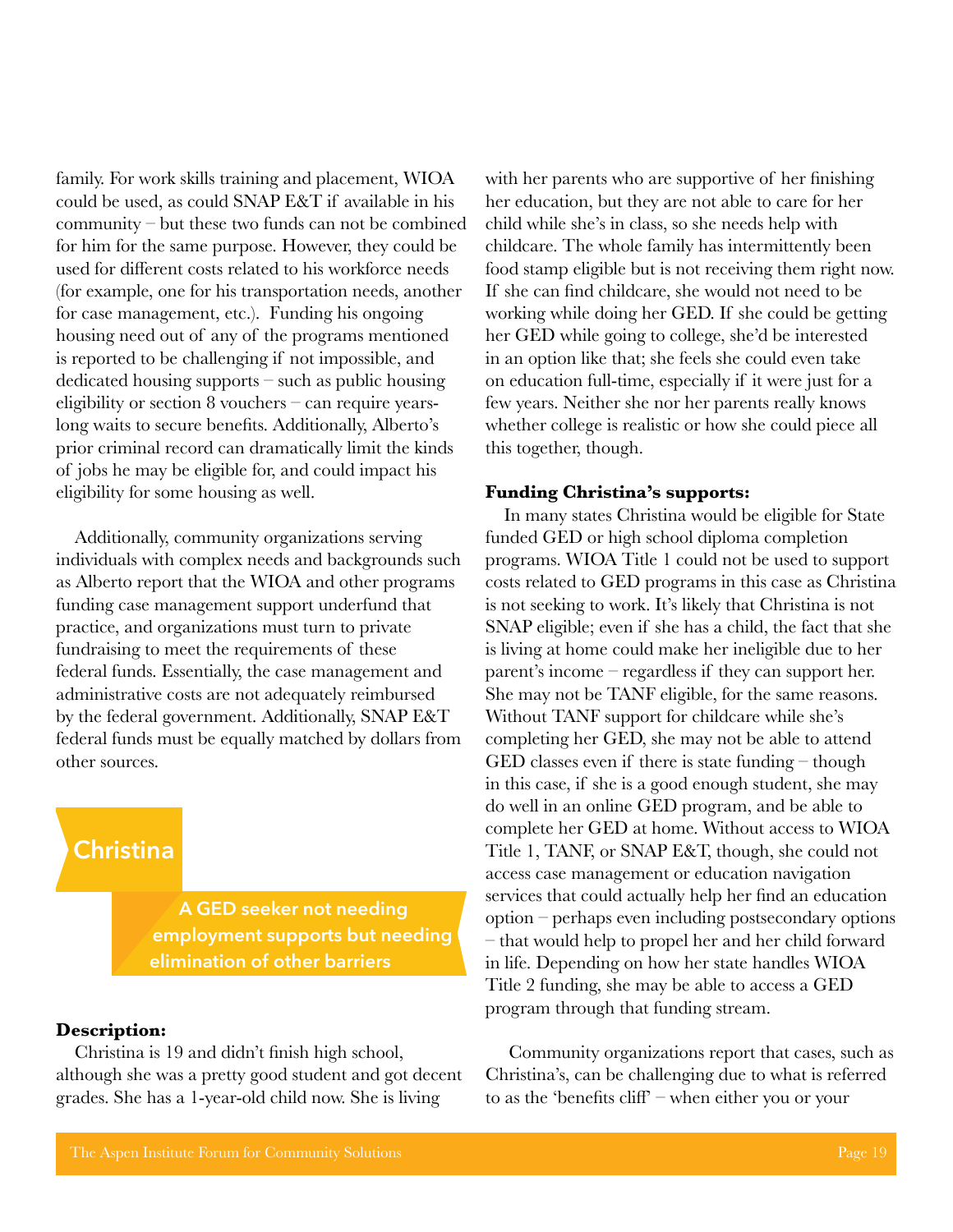family. For work skills training and placement, WIOA could be used, as could SNAP E&T if available in his community – but these two funds can not be combined for him for the same purpose. However, they could be used for different costs related to his workforce needs (for example, one for his transportation needs, another for case management, etc.). Funding his ongoing housing need out of any of the programs mentioned is reported to be challenging if not impossible, and dedicated housing supports – such as public housing eligibility or section 8 vouchers – can require yearslong waits to secure benefits. Additionally, Alberto's prior criminal record can dramatically limit the kinds of jobs he may be eligible for, and could impact his eligibility for some housing as well.

Additionally, community organizations serving individuals with complex needs and backgrounds such as Alberto report that the WIOA and other programs funding case management support underfund that practice, and organizations must turn to private fundraising to meet the requirements of these federal funds. Essentially, the case management and administrative costs are not adequately reimbursed by the federal government. Additionally, SNAP E&T federal funds must be equally matched by dollars from other sources.

### **Christina**

**A GED seeker not needing employment supports but needing elimination of other barriers**

#### **Description:**

Christina is 19 and didn't finish high school, although she was a pretty good student and got decent grades. She has a 1-year-old child now. She is living

with her parents who are supportive of her finishing her education, but they are not able to care for her child while she's in class, so she needs help with childcare. The whole family has intermittently been food stamp eligible but is not receiving them right now. If she can find childcare, she would not need to be working while doing her GED. If she could be getting her GED while going to college, she'd be interested in an option like that; she feels she could even take on education full-time, especially if it were just for a few years. Neither she nor her parents really knows whether college is realistic or how she could piece all this together, though.

#### **Funding Christina's supports:**

In many states Christina would be eligible for State funded GED or high school diploma completion programs. WIOA Title 1 could not be used to support costs related to GED programs in this case as Christina is not seeking to work. It's likely that Christina is not SNAP eligible; even if she has a child, the fact that she is living at home could make her ineligible due to her parent's income – regardless if they can support her. She may not be TANF eligible, for the same reasons. Without TANF support for childcare while she's completing her GED, she may not be able to attend GED classes even if there is state funding – though in this case, if she is a good enough student, she may do well in an online GED program, and be able to complete her GED at home. Without access to WIOA Title 1, TANF, or SNAP E&T, though, she could not access case management or education navigation services that could actually help her find an education option – perhaps even including postsecondary options – that would help to propel her and her child forward in life. Depending on how her state handles WIOA Title 2 funding, she may be able to access a GED program through that funding stream.

 Community organizations report that cases, such as Christina's, can be challenging due to what is referred to as the 'benefits cliff' – when either you or your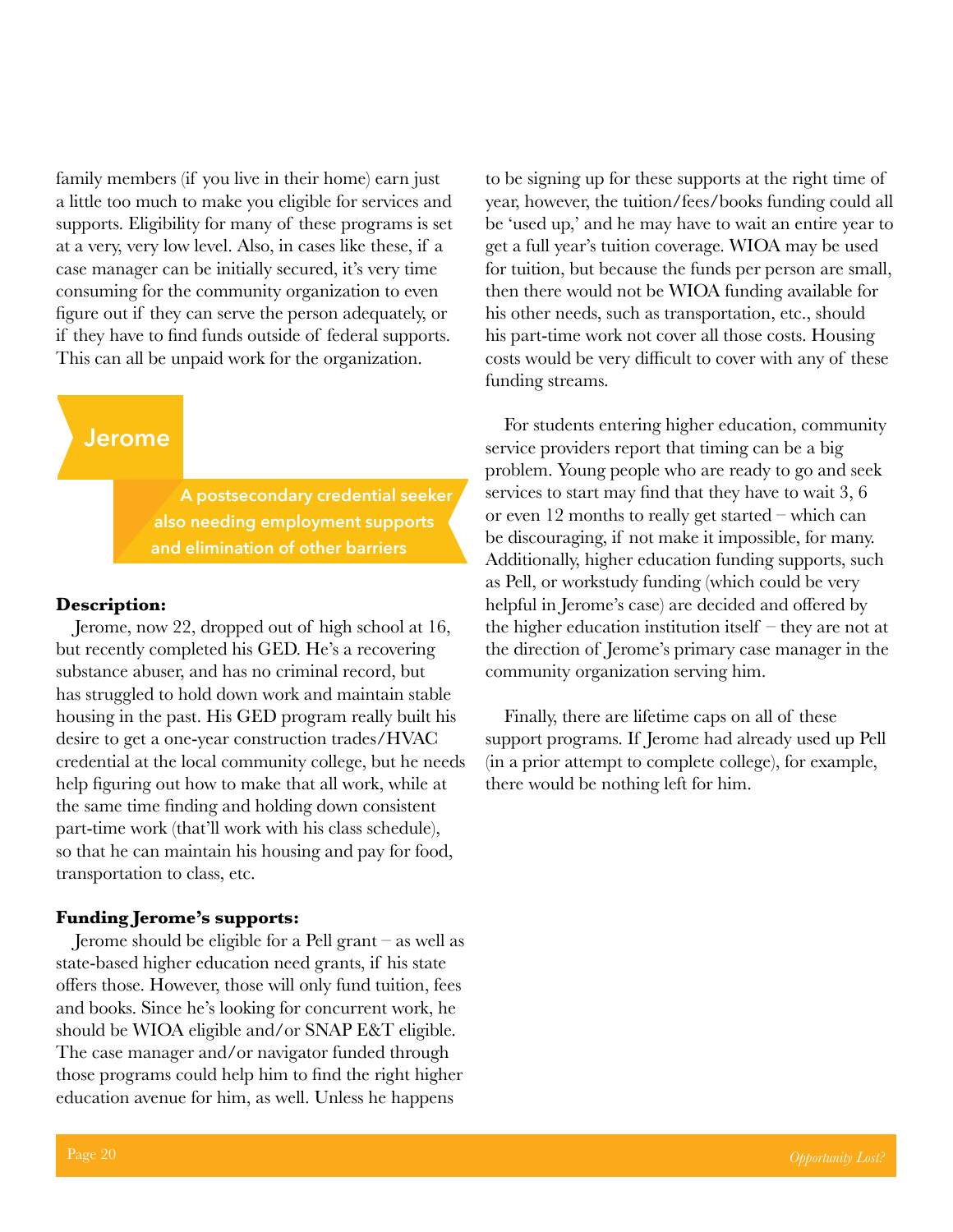family members (if you live in their home) earn just a little too much to make you eligible for services and supports. Eligibility for many of these programs is set at a very, very low level. Also, in cases like these, if a case manager can be initially secured, it's very time consuming for the community organization to even figure out if they can serve the person adequately, or if they have to find funds outside of federal supports. This can all be unpaid work for the organization.

#### **Jerome**

**A postsecondary credential seeker also needing employment supports and elimination of other barriers**

#### **Description:**

Jerome, now 22, dropped out of high school at 16, but recently completed his GED. He's a recovering substance abuser, and has no criminal record, but has struggled to hold down work and maintain stable housing in the past. His GED program really built his desire to get a one-year construction trades/HVAC credential at the local community college, but he needs help figuring out how to make that all work, while at the same time finding and holding down consistent part-time work (that'll work with his class schedule), so that he can maintain his housing and pay for food, transportation to class, etc.

#### **Funding Jerome's supports:**

Jerome should be eligible for a Pell grant – as well as state-based higher education need grants, if his state offers those. However, those will only fund tuition, fees and books. Since he's looking for concurrent work, he should be WIOA eligible and/or SNAP E&T eligible. The case manager and/or navigator funded through those programs could help him to find the right higher education avenue for him, as well. Unless he happens

to be signing up for these supports at the right time of year, however, the tuition/fees/books funding could all be 'used up,' and he may have to wait an entire year to get a full year's tuition coverage. WIOA may be used for tuition, but because the funds per person are small, then there would not be WIOA funding available for his other needs, such as transportation, etc., should his part-time work not cover all those costs. Housing costs would be very difficult to cover with any of these funding streams.

For students entering higher education, community service providers report that timing can be a big problem. Young people who are ready to go and seek services to start may find that they have to wait 3, 6 or even 12 months to really get started – which can be discouraging, if not make it impossible, for many. Additionally, higher education funding supports, such as Pell, or workstudy funding (which could be very helpful in Jerome's case) are decided and offered by the higher education institution itself – they are not at the direction of Jerome's primary case manager in the community organization serving him.

Finally, there are lifetime caps on all of these support programs. If Jerome had already used up Pell (in a prior attempt to complete college), for example, there would be nothing left for him.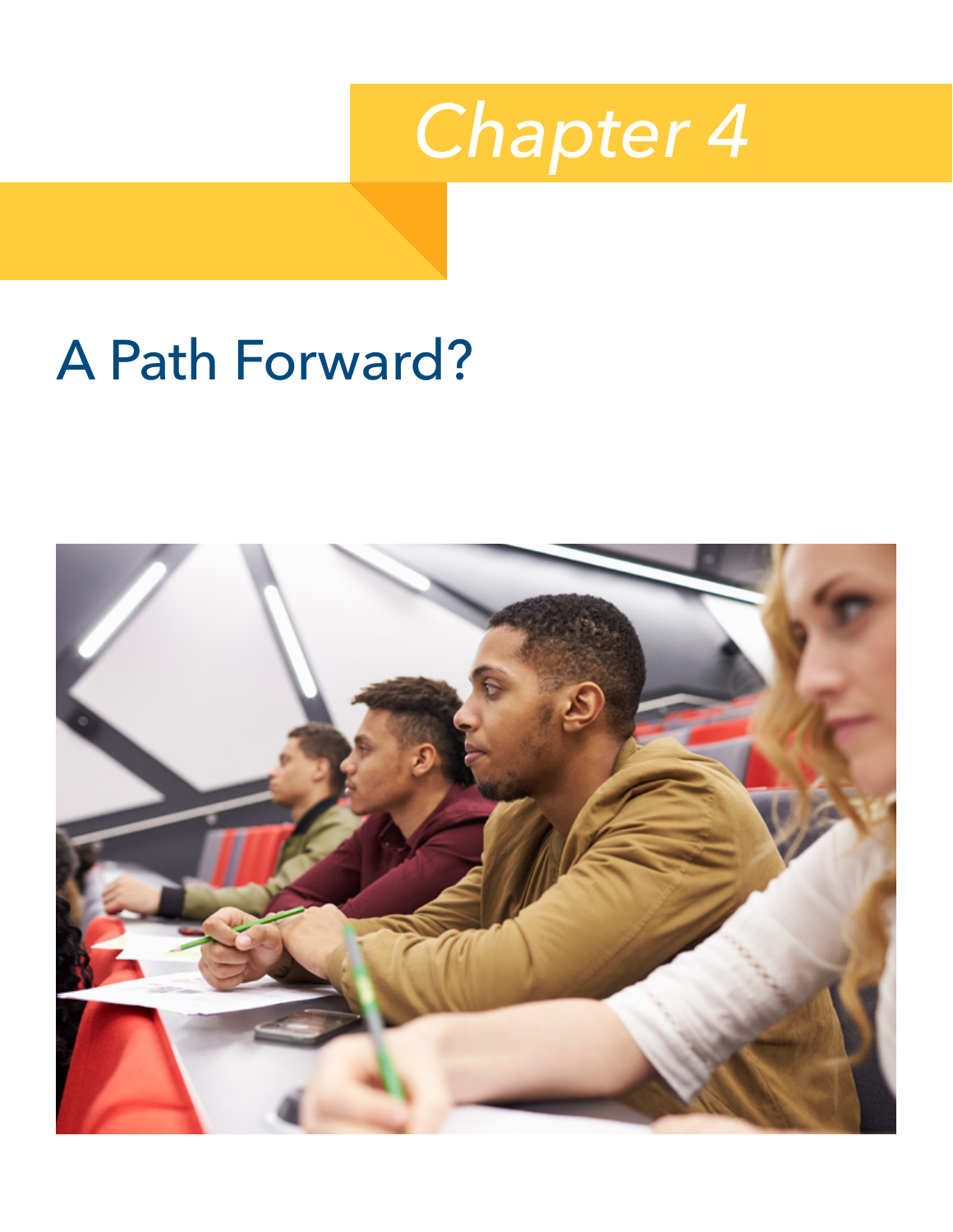

# <span id="page-25-0"></span>A Path Forward?

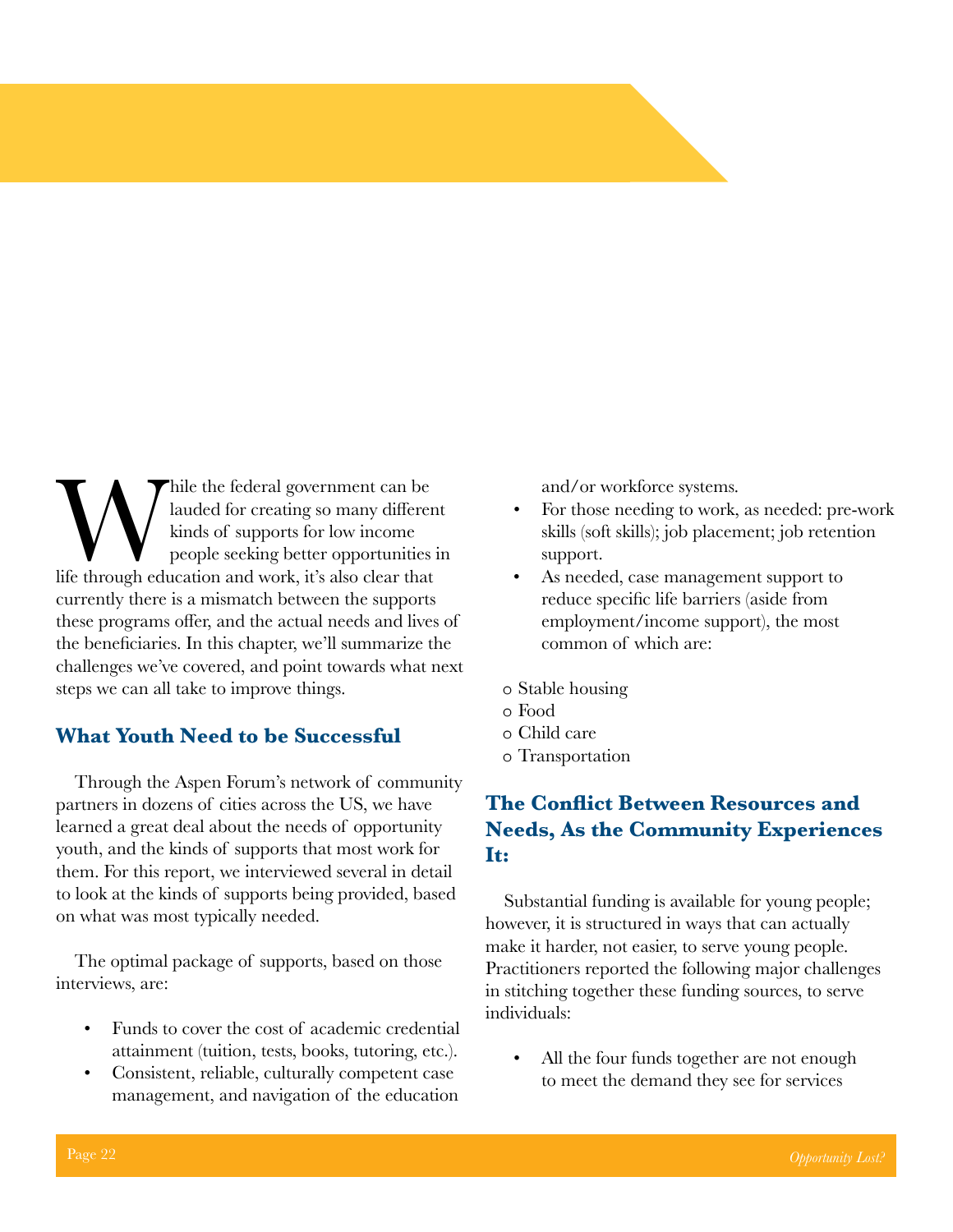While the federal government can be lauded for creating so many differentially kinds of supports for low income people seeking better opportunities if through education and work, it's also clear that lauded for creating so many different kinds of supports for low income people seeking better opportunities in currently there is a mismatch between the supports these programs offer, and the actual needs and lives of the beneficiaries. In this chapter, we'll summarize the challenges we've covered, and point towards what next steps we can all take to improve things.

#### **What Youth Need to be Successful**

Through the Aspen Forum's network of community partners in dozens of cities across the US, we have learned a great deal about the needs of opportunity youth, and the kinds of supports that most work for them. For this report, we interviewed several in detail to look at the kinds of supports being provided, based on what was most typically needed.

The optimal package of supports, based on those interviews, are:

- Funds to cover the cost of academic credential attainment (tuition, tests, books, tutoring, etc.).
- Consistent, reliable, culturally competent case management, and navigation of the education

and/or workforce systems.

- For those needing to work, as needed: pre-work skills (soft skills); job placement; job retention support.
- As needed, case management support to reduce specific life barriers (aside from employment/income support), the most common of which are:
- ڤ Stable housing
- Food ڤ
- ڤ Child care
- Transportation ڤ

#### **The Conflict Between Resources and Needs, As the Community Experiences It:**

Substantial funding is available for young people; however, it is structured in ways that can actually make it harder, not easier, to serve young people. Practitioners reported the following major challenges in stitching together these funding sources, to serve individuals:

All the four funds together are not enough. to meet the demand they see for services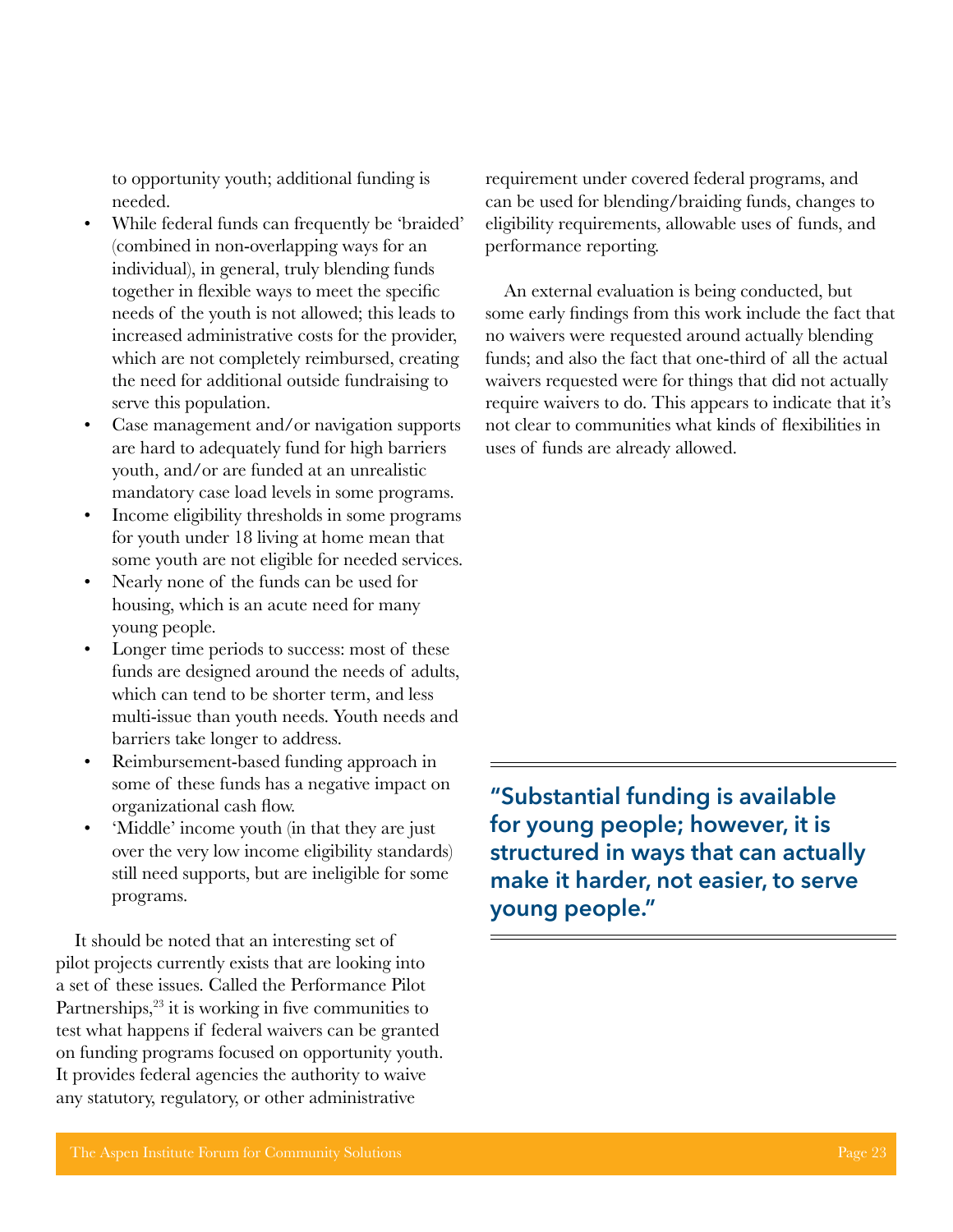to opportunity youth; additional funding is needed.

- While federal funds can frequently be 'braided' (combined in non-overlapping ways for an individual), in general, truly blending funds together in flexible ways to meet the specific needs of the youth is not allowed; this leads to increased administrative costs for the provider, which are not completely reimbursed, creating the need for additional outside fundraising to serve this population.
- Case management and/or navigation supports are hard to adequately fund for high barriers youth, and/or are funded at an unrealistic mandatory case load levels in some programs.
- Income eligibility thresholds in some programs for youth under 18 living at home mean that some youth are not eligible for needed services.
- Nearly none of the funds can be used for housing, which is an acute need for many young people.
- Longer time periods to success: most of these funds are designed around the needs of adults, which can tend to be shorter term, and less multi-issue than youth needs. Youth needs and barriers take longer to address.
- Reimbursement-based funding approach in some of these funds has a negative impact on organizational cash flow.
- 'Middle' income youth (in that they are just over the very low income eligibility standards) still need supports, but are ineligible for some programs.

It should be noted that an interesting set of pilot projects currently exists that are looking into a set of these issues. Called the Performance Pilot Partnerships,<sup>23</sup> it is working in five communities to test what happens if federal waivers can be granted on funding programs focused on opportunity youth. It provides federal agencies the authority to waive any statutory, regulatory, or other administrative

requirement under covered federal programs, and can be used for blending/braiding funds, changes to eligibility requirements, allowable uses of funds, and performance reporting.

An external evaluation is being conducted, but some early findings from this work include the fact that no waivers were requested around actually blending funds; and also the fact that one-third of all the actual waivers requested were for things that did not actually require waivers to do. This appears to indicate that it's not clear to communities what kinds of flexibilities in uses of funds are already allowed.

**"Substantial funding is available for young people; however, it is structured in ways that can actually make it harder, not easier, to serve young people."**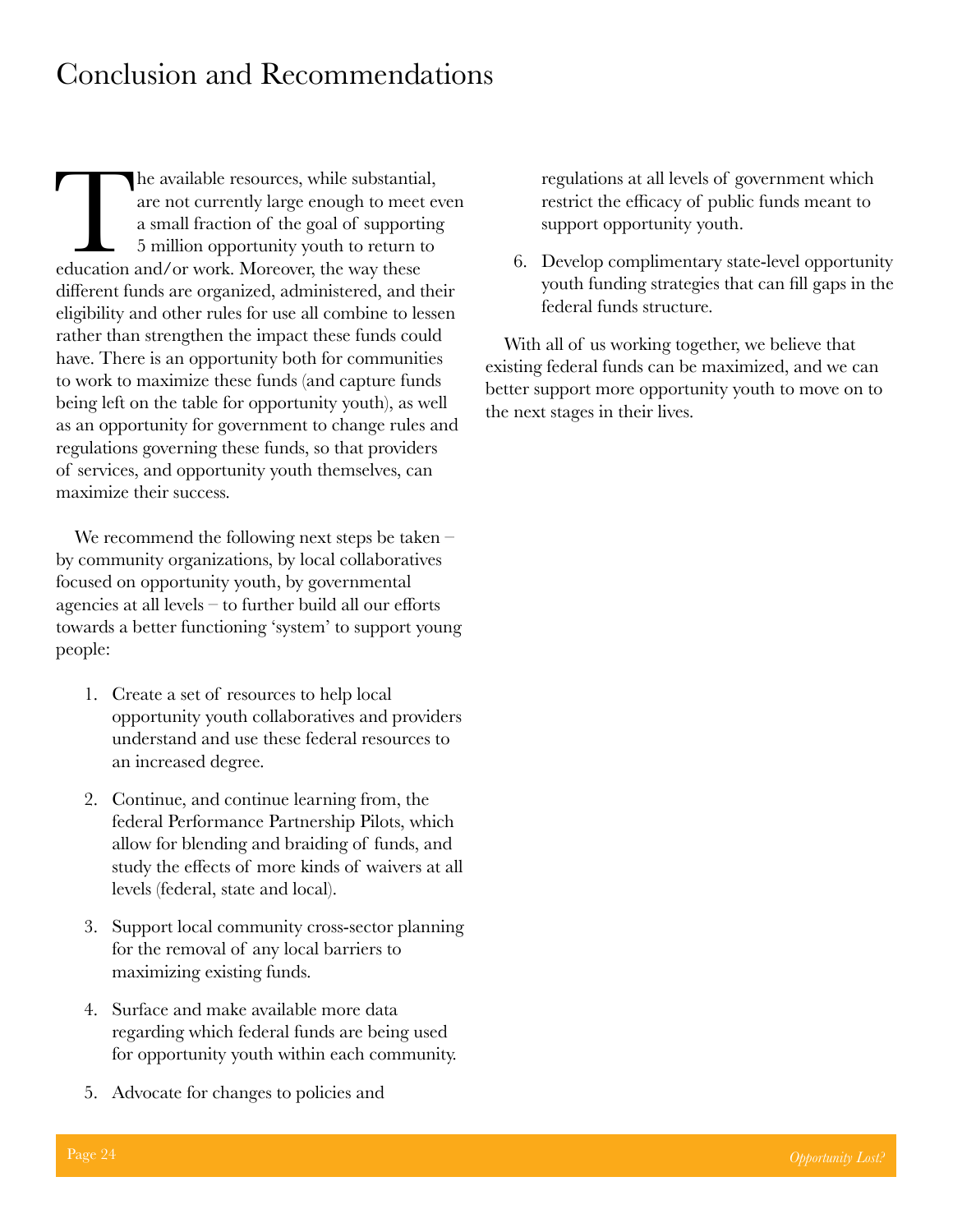# <span id="page-28-0"></span>Conclusion and Recommendations

The available resources, while substantial, are not currently large enough to meet evaluation of the goal of supporting 5 million opportunity youth to return to education and/or work. Moreover, the way these are not currently large enough to meet even a small fraction of the goal of supporting 5 million opportunity youth to return to different funds are organized, administered, and their eligibility and other rules for use all combine to lessen rather than strengthen the impact these funds could have. There is an opportunity both for communities to work to maximize these funds (and capture funds being left on the table for opportunity youth), as well as an opportunity for government to change rules and regulations governing these funds, so that providers of services, and opportunity youth themselves, can maximize their success.

We recommend the following next steps be taken – by community organizations, by local collaboratives focused on opportunity youth, by governmental agencies at all levels – to further build all our efforts towards a better functioning 'system' to support young people:

- 1. Create a set of resources to help local opportunity youth collaboratives and providers understand and use these federal resources to an increased degree.
- 2. Continue, and continue learning from, the federal Performance Partnership Pilots, which allow for blending and braiding of funds, and study the effects of more kinds of waivers at all levels (federal, state and local).
- 3. Support local community cross-sector planning for the removal of any local barriers to maximizing existing funds.
- 4. Surface and make available more data regarding which federal funds are being used for opportunity youth within each community.
- 5. Advocate for changes to policies and

regulations at all levels of government which restrict the efficacy of public funds meant to support opportunity youth.

6. Develop complimentary state-level opportunity youth funding strategies that can fill gaps in the federal funds structure.

With all of us working together, we believe that existing federal funds can be maximized, and we can better support more opportunity youth to move on to the next stages in their lives.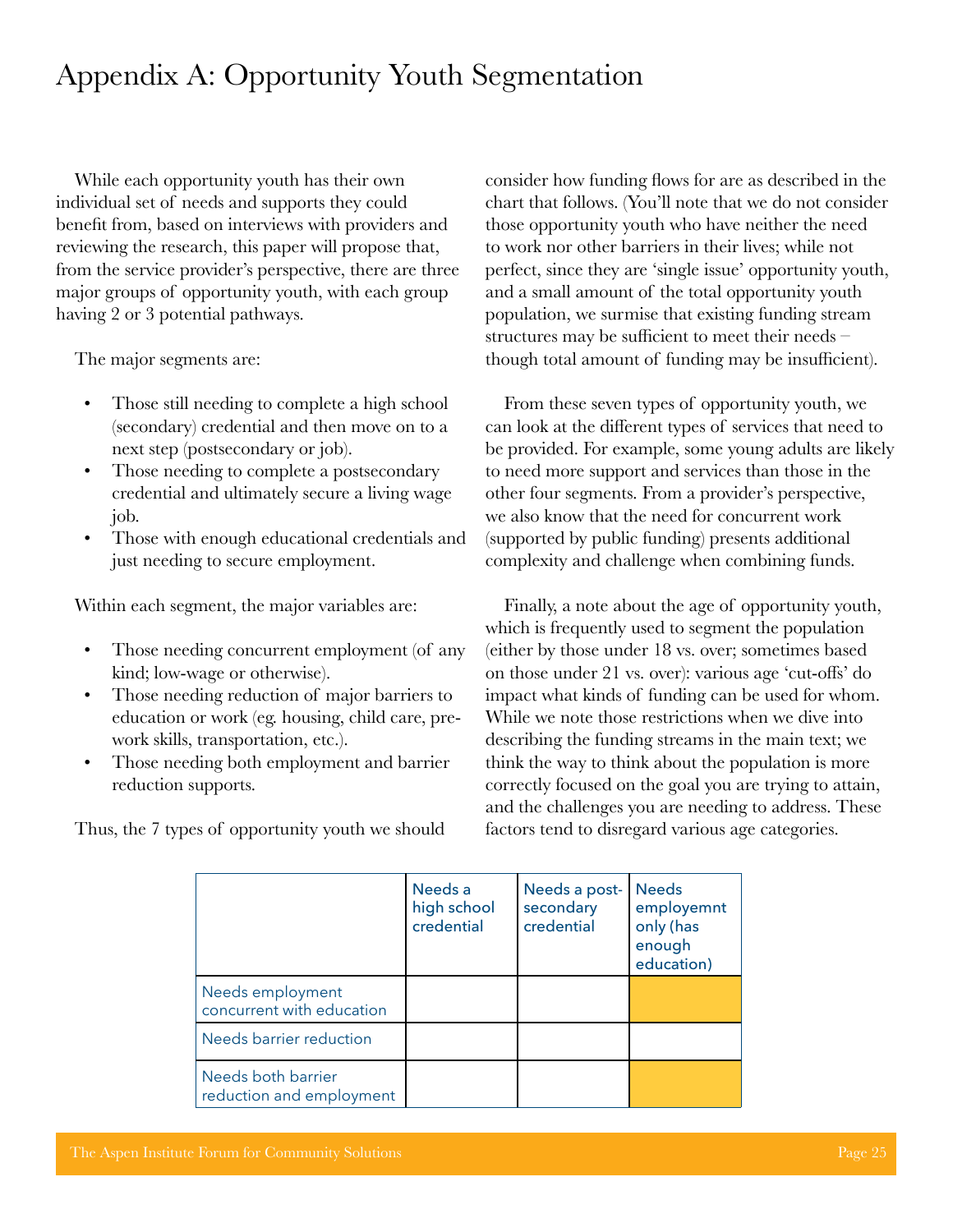# <span id="page-29-0"></span>Appendix A: Opportunity Youth Segmentation

While each opportunity youth has their own individual set of needs and supports they could benefit from, based on interviews with providers and reviewing the research, this paper will propose that, from the service provider's perspective, there are three major groups of opportunity youth, with each group having 2 or 3 potential pathways.

The major segments are:

- Those still needing to complete a high school (secondary) credential and then move on to a next step (postsecondary or job).
- Those needing to complete a postsecondary credential and ultimately secure a living wage job.
- Those with enough educational credentials and just needing to secure employment.

Within each segment, the major variables are:

- Those needing concurrent employment (of any kind; low-wage or otherwise).
- Those needing reduction of major barriers to education or work (eg. housing, child care, prework skills, transportation, etc.).
- Those needing both employment and barrier reduction supports.

Thus, the 7 types of opportunity youth we should

consider how funding flows for are as described in the chart that follows. (You'll note that we do not consider those opportunity youth who have neither the need to work nor other barriers in their lives; while not perfect, since they are 'single issue' opportunity youth, and a small amount of the total opportunity youth population, we surmise that existing funding stream structures may be sufficient to meet their needs – though total amount of funding may be insufficient).

From these seven types of opportunity youth, we can look at the different types of services that need to be provided. For example, some young adults are likely to need more support and services than those in the other four segments. From a provider's perspective, we also know that the need for concurrent work (supported by public funding) presents additional complexity and challenge when combining funds.

Finally, a note about the age of opportunity youth, which is frequently used to segment the population (either by those under 18 vs. over; sometimes based on those under 21 vs. over): various age 'cut-offs' do impact what kinds of funding can be used for whom. While we note those restrictions when we dive into describing the funding streams in the main text; we think the way to think about the population is more correctly focused on the goal you are trying to attain, and the challenges you are needing to address. These factors tend to disregard various age categories.

|                                                | Needs a<br>high school<br>credential | Needs a post-<br>secondary<br>credential | <b>Needs</b><br>employemnt<br>only (has<br>enough<br>education) |
|------------------------------------------------|--------------------------------------|------------------------------------------|-----------------------------------------------------------------|
| Needs employment<br>concurrent with education  |                                      |                                          |                                                                 |
| Needs barrier reduction                        |                                      |                                          |                                                                 |
| Needs both barrier<br>reduction and employment |                                      |                                          |                                                                 |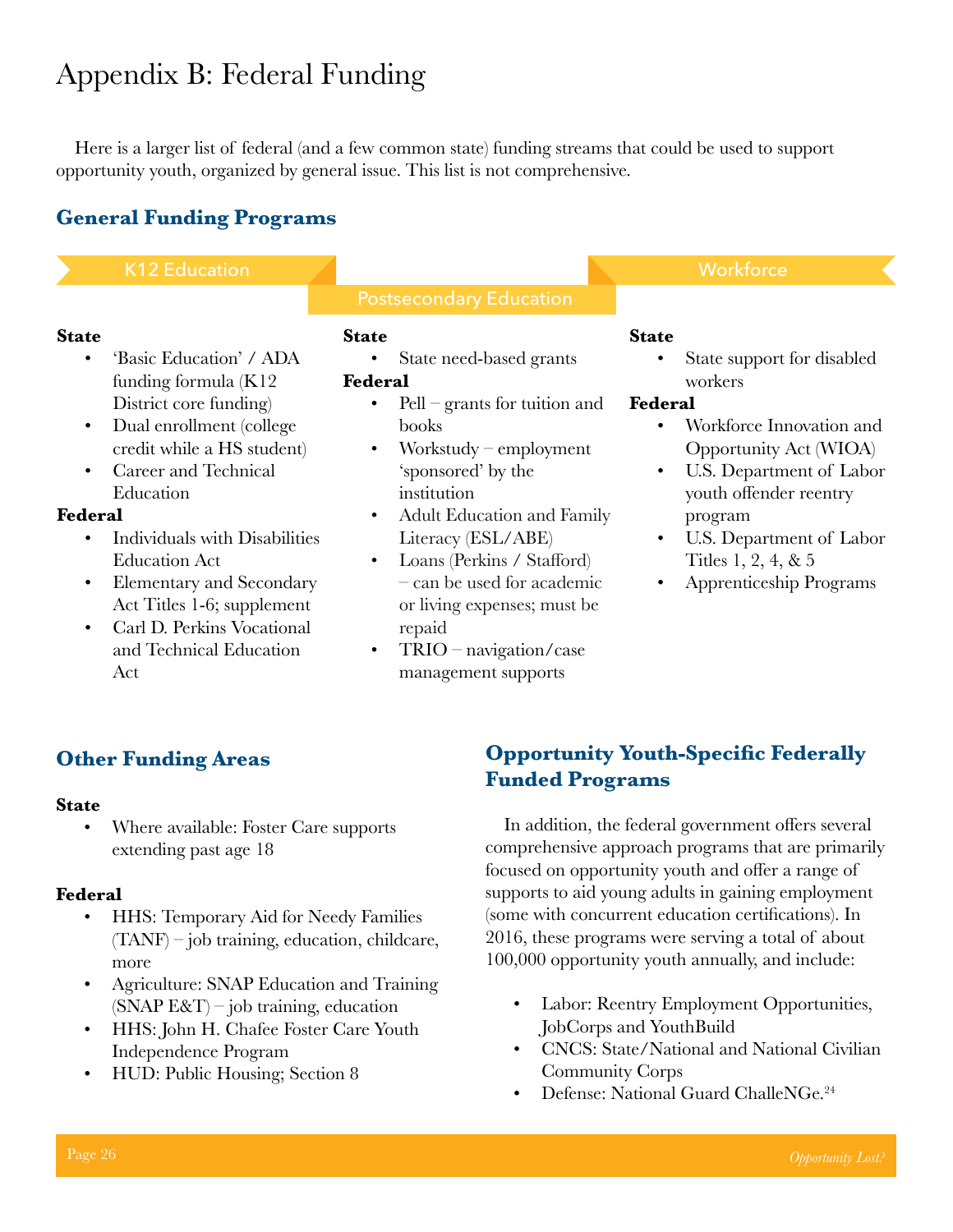# <span id="page-30-0"></span>Appendix B: Federal Funding

Here is a larger list of federal (and a few common state) funding streams that could be used to support opportunity youth, organized by general issue. This list is not comprehensive.

#### **General Funding Programs**

K12 Education **Workforce** 

#### **State**

- 'Basic Education' / ADA funding formula (K12 District core funding)
- Dual enrollment (college credit while a HS student)
- Career and Technical Education

#### **Federal**

- Individuals with Disabilities Education Act
- Elementary and Secondary Act Titles 1-6; supplement
- Carl D. Perkins Vocational and Technical Education Act

#### **State**

• State need-based grants **Federal**

- Pell grants for tuition and books
- Workstudy employment 'sponsored' by the institution
- Adult Education and Family Literacy (ESL/ABE)
- Loans (Perkins / Stafford) – can be used for academic or living expenses; must be repaid
- TRIO navigation/case management supports

#### **State**

State support for disabled workers

#### **Federal**

- Workforce Innovation and Opportunity Act (WIOA)
- U.S. Department of Labor youth offender reentry program
- U.S. Department of Labor Titles 1, 2, 4, & 5
- Apprenticeship Programs

#### **Other Funding Areas**

#### **State**

• Where available: Foster Care supports extending past age 18

#### **Federal**

- HHS: Temporary Aid for Needy Families (TANF) – job training, education, childcare, more
- Agriculture: SNAP Education and Training  $(SNAP E&T)$  – job training, education
- HHS: John H. Chafee Foster Care Youth Independence Program
- HUD: Public Housing; Section 8

#### **Opportunity Youth-Specific Federally Funded Programs**

In addition, the federal government offers several comprehensive approach programs that are primarily focused on opportunity youth and offer a range of supports to aid young adults in gaining employment (some with concurrent education certifications). In 2016, these programs were serving a total of about 100,000 opportunity youth annually, and include:

- Labor: Reentry Employment Opportunities, JobCorps and YouthBuild
- CNCS: State/National and National Civilian Community Corps
- Defense: National Guard ChalleNGe.<sup>24</sup>